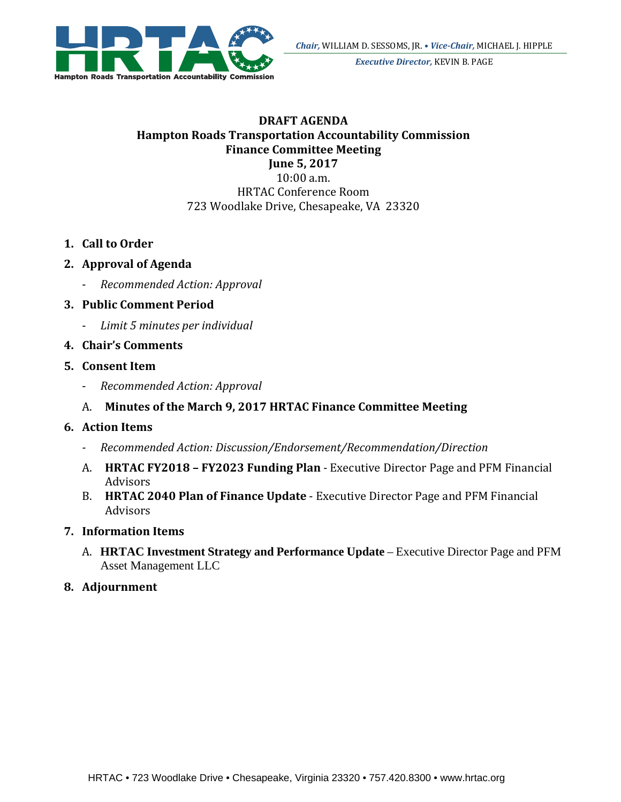

*Executive Director,* KEVIN B. PAGE

#### **DRAFT AGENDA Hampton Roads Transportation Accountability Commission Finance Committee Meeting June 5, 2017**

10:00 a.m. 

HRTAC Conference Room 723 Woodlake Drive, Chesapeake, VA 23320

- **1. Call to Order**
- **2. Approval of Agenda**
	- ‐ *Recommended Action: Approval*
- **3. Public Comment Period** 
	- ‐ *Limit 5 minutes per individual*
- **4. Chair's Comments**

### **5. Consent Item**

‐ *Recommended Action: Approval* 

### A. **Minutes of the March 9, 2017 HRTAC Finance Committee Meeting**

#### **6. Action Items**

- *‐ Recommended Action: Discussion/Endorsement/Recommendation/Direction*
- A. HRTAC FY2018 FY2023 Funding Plan Executive Director Page and PFM Financial Advisors
- B. **HRTAC 2040 Plan of Finance Update** Executive Director Page and PFM Financial Advisors

#### **7. Information Items**

A. **HRTAC Investment Strategy and Performance Update** – Executive Director Page and PFM Asset Management LLC

#### **8. Adjournment**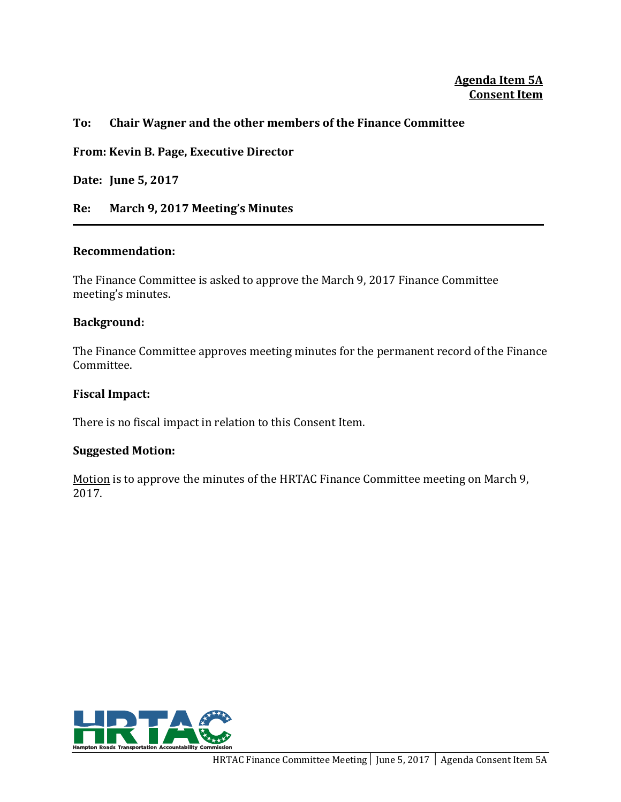#### **Agenda Item 5A Consent Item**

#### **To: Chair Wagner and the other members of the Finance Committee**

**From: Kevin B. Page, Executive Director**

**Date: June 5, 2017**

**Re: March 9, 2017 Meeting's Minutes**

#### **Recommendation:**

The Finance Committee is asked to approve the March 9, 2017 Finance Committee meeting's minutes.

#### **Background:**

The Finance Committee approves meeting minutes for the permanent record of the Finance Committee. 

#### **Fiscal Impact:**

There is no fiscal impact in relation to this Consent Item.

#### **Suggested Motion:**

Motion is to approve the minutes of the HRTAC Finance Committee meeting on March 9, 2017. 

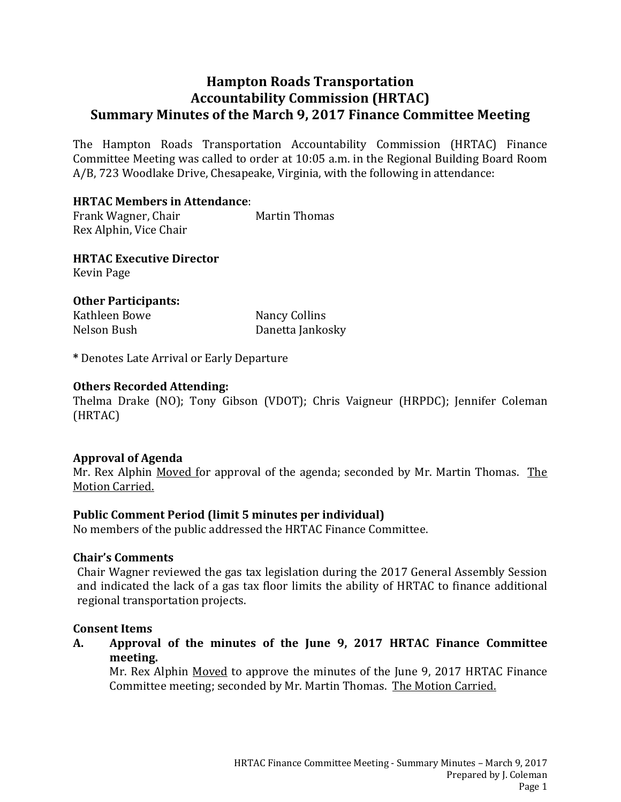### **Hampton Roads Transportation Accountability Commission (HRTAC) Summary Minutes of the March 9, 2017 Finance Committee Meeting**

The Hampton Roads Transportation Accountability Commission (HRTAC) Finance Committee Meeting was called to order at 10:05 a.m. in the Regional Building Board Room A/B, 723 Woodlake Drive, Chesapeake, Virginia, with the following in attendance:

#### **HRTAC Members in Attendance**:

Frank Wagner, Chair **Martin Thomas** Rex Alphin, Vice Chair

**HRTAC Executive Director** Kevin Page 

**Other Participants:** Kathleen Bowe Nancy Collins

Nelson Bush Danetta Jankosky

**\*** Denotes Late Arrival or Early Departure 

#### **Others Recorded Attending:**

Thelma Drake (NO); Tony Gibson (VDOT); Chris Vaigneur (HRPDC); Jennifer Coleman (HRTAC) 

#### **Approval of Agenda**

Mr. Rex Alphin Moved for approval of the agenda; seconded by Mr. Martin Thomas. The Motion Carried.

#### **Public Comment Period (limit 5 minutes per individual)**

No members of the public addressed the HRTAC Finance Committee.

#### **Chair's Comments**

Chair Wagner reviewed the gas tax legislation during the 2017 General Assembly Session and indicated the lack of a gas tax floor limits the ability of HRTAC to finance additional regional transportation projects.

#### **Consent Items**

**A. Approval of the minutes of the June 9, 2017 HRTAC Finance Committee meeting.**

Mr. Rex Alphin Moved to approve the minutes of the June 9, 2017 HRTAC Finance Committee meeting; seconded by Mr. Martin Thomas. The Motion Carried.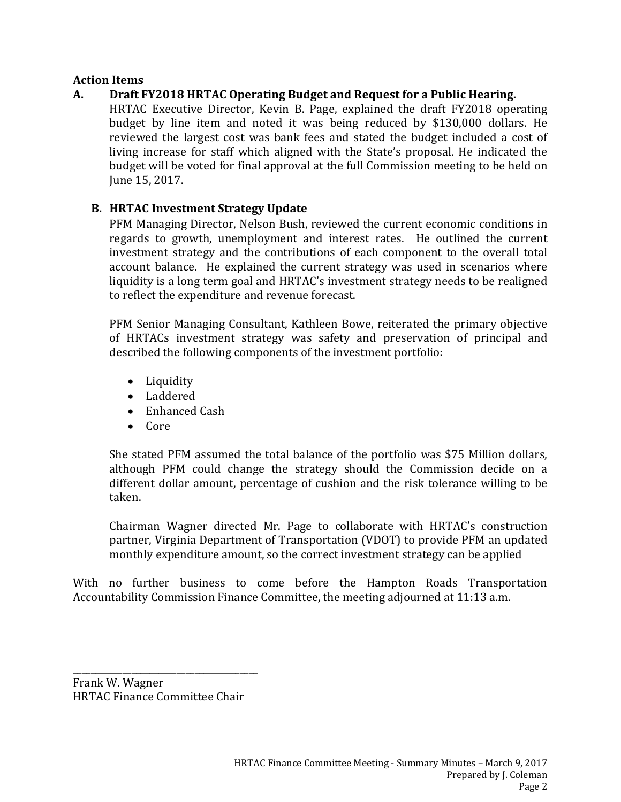#### **Action Items**

### **A. Draft FY2018 HRTAC Operating Budget and Request for a Public Hearing.**

HRTAC Executive Director, Kevin B. Page, explained the draft FY2018 operating budget by line item and noted it was being reduced by \$130,000 dollars. He reviewed the largest cost was bank fees and stated the budget included a cost of living increase for staff which aligned with the State's proposal. He indicated the budget will be voted for final approval at the full Commission meeting to be held on June 15, 2017.

### **B. HRTAC Investment Strategy Update**

PFM Managing Director, Nelson Bush, reviewed the current economic conditions in regards to growth, unemployment and interest rates. He outlined the current investment strategy and the contributions of each component to the overall total account balance. He explained the current strategy was used in scenarios where liquidity is a long term goal and HRTAC's investment strategy needs to be realigned to reflect the expenditure and revenue forecast.

PFM Senior Managing Consultant, Kathleen Bowe, reiterated the primary objective of HRTACs investment strategy was safety and preservation of principal and described the following components of the investment portfolio:

- Liquidity
- Laddered
- Enhanced Cash
- $\bullet$  Core

She stated PFM assumed the total balance of the portfolio was \$75 Million dollars, although PFM could change the strategy should the Commission decide on a different dollar amount, percentage of cushion and the risk tolerance willing to be taken. 

Chairman Wagner directed Mr. Page to collaborate with HRTAC's construction partner, Virginia Department of Transportation (VDOT) to provide PFM an updated monthly expenditure amount, so the correct investment strategy can be applied

With no further business to come before the Hampton Roads Transportation Accountability Commission Finance Committee, the meeting adjourned at 11:13 a.m.

Frank W. Wagner HRTAC Finance Committee Chair

\_\_\_\_\_\_\_\_\_\_\_\_\_\_\_\_\_\_\_\_\_\_\_\_\_\_\_\_\_\_\_\_\_\_\_\_\_\_\_\_\_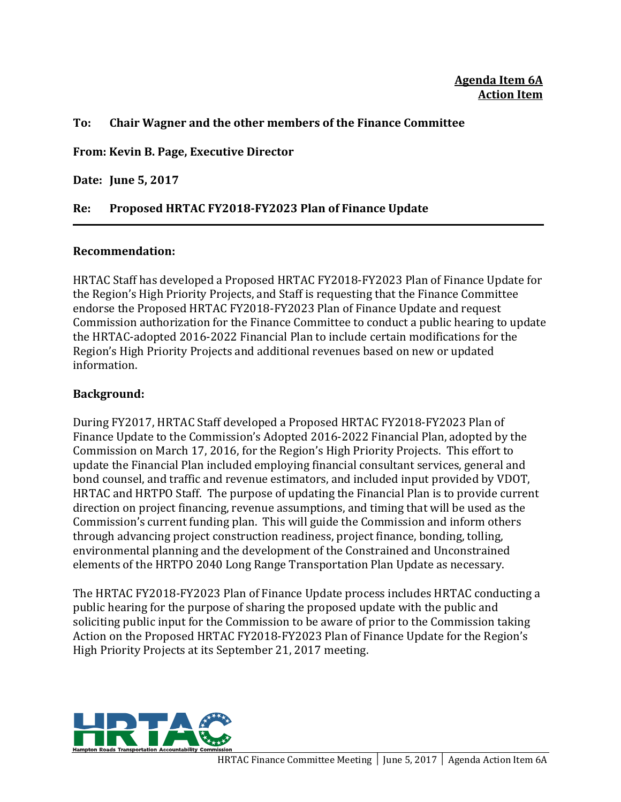#### **To: Chair Wagner and the other members of the Finance Committee**

**From: Kevin B. Page, Executive Director**

**Date: June 5, 2017**

### **Re: Proposed HRTAC FY2018‐FY2023 Plan of Finance Update**

#### **Recommendation:**

HRTAC Staff has developed a Proposed HRTAC FY2018-FY2023 Plan of Finance Update for the Region's High Priority Projects, and Staff is requesting that the Finance Committee endorse the Proposed HRTAC FY2018-FY2023 Plan of Finance Update and request Commission authorization for the Finance Committee to conduct a public hearing to update the HRTAC-adopted 2016-2022 Financial Plan to include certain modifications for the Region's High Priority Projects and additional revenues based on new or updated information. 

#### **Background:**

During FY2017, HRTAC Staff developed a Proposed HRTAC FY2018-FY2023 Plan of Finance Update to the Commission's Adopted 2016-2022 Financial Plan, adopted by the Commission on March 17, 2016, for the Region's High Priority Projects. This effort to update the Financial Plan included employing financial consultant services, general and bond counsel, and traffic and revenue estimators, and included input provided by VDOT, HRTAC and HRTPO Staff. The purpose of updating the Financial Plan is to provide current direction on project financing, revenue assumptions, and timing that will be used as the Commission's current funding plan. This will guide the Commission and inform others through advancing project construction readiness, project finance, bonding, tolling, environmental planning and the development of the Constrained and Unconstrained elements of the HRTPO 2040 Long Range Transportation Plan Update as necessary.

The HRTAC FY2018-FY2023 Plan of Finance Update process includes HRTAC conducting a public hearing for the purpose of sharing the proposed update with the public and soliciting public input for the Commission to be aware of prior to the Commission taking Action on the Proposed HRTAC FY2018-FY2023 Plan of Finance Update for the Region's High Priority Projects at its September 21, 2017 meeting.

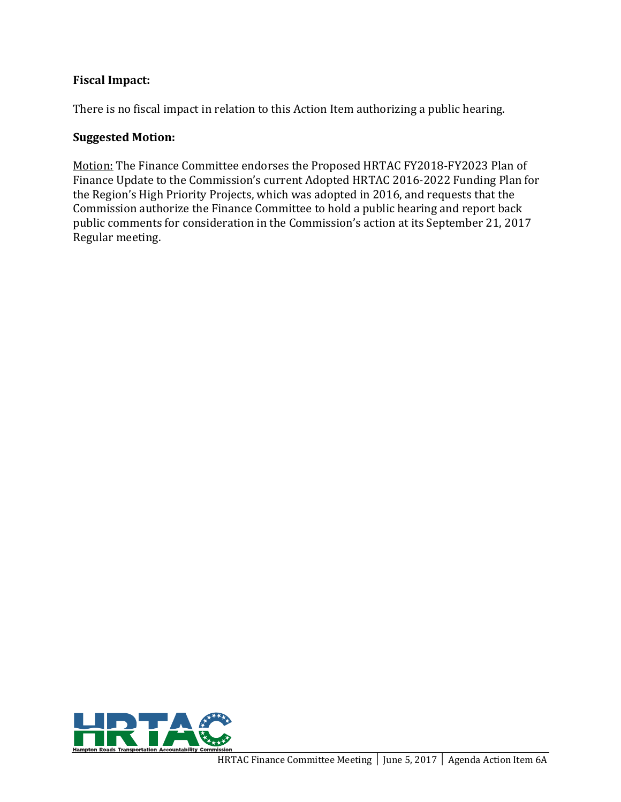### **Fiscal Impact:**

There is no fiscal impact in relation to this Action Item authorizing a public hearing.

#### **Suggested Motion:**

Motion: The Finance Committee endorses the Proposed HRTAC FY2018-FY2023 Plan of Finance Update to the Commission's current Adopted HRTAC 2016-2022 Funding Plan for the Region's High Priority Projects, which was adopted in 2016, and requests that the Commission authorize the Finance Committee to hold a public hearing and report back public comments for consideration in the Commission's action at its September 21, 2017 Regular meeting.

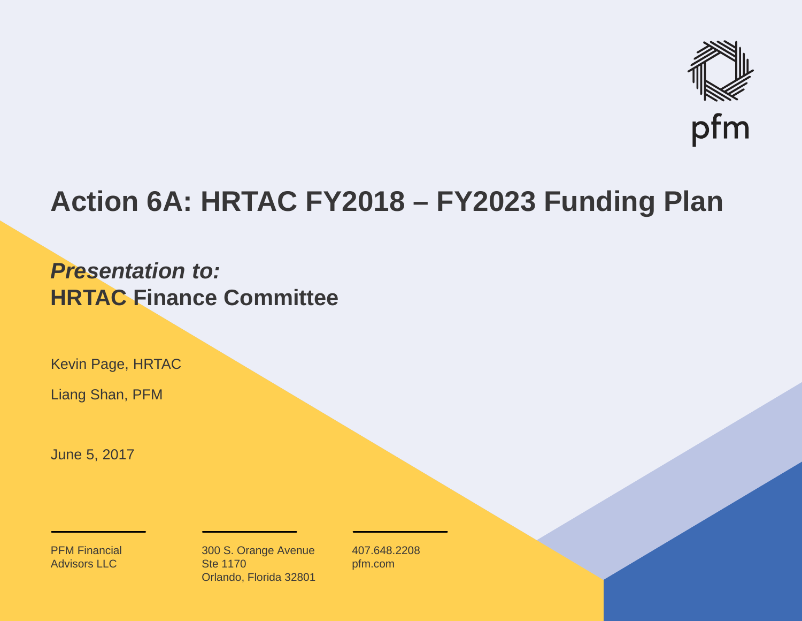

## **Action 6A: HRTAC FY2018 – FY2023 Funding Plan**

## *Presentation to:***HRTAC Finance Committee**

Kevin Page, HRTAC

Liang Shan, PFM

June 5, 2017

PFM Financial Advisors LLC

300 S. Orange Avenue Ste 1170Orlando, Florida 32801 407.648.2208pfm.com

**1**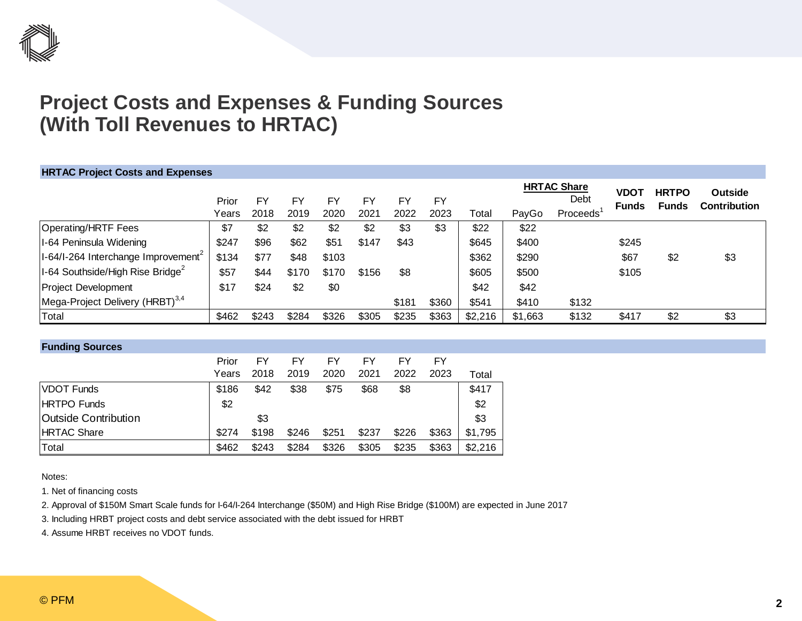

### **Project Costs and Expenses & Funding Sources (With Toll Revenues to HRTAC)**

| <b>HRTAC Project Costs and Expenses</b>                            |       |       |       |       |       |       |       |         |         |                            |                             |                              |                                       |
|--------------------------------------------------------------------|-------|-------|-------|-------|-------|-------|-------|---------|---------|----------------------------|-----------------------------|------------------------------|---------------------------------------|
|                                                                    | Prior | FΥ    | FY    | FY    | FY    | FY    | FY    |         |         | <b>HRTAC Share</b><br>Debt | <b>VDOT</b><br><b>Funds</b> | <b>HRTPO</b><br><b>Funds</b> | <b>Outside</b><br><b>Contribution</b> |
|                                                                    | Years | 2018  | 2019  | 2020  | 2021  | 2022  | 2023  | Total   | PayGo   | Proceeds <sup>1</sup>      |                             |                              |                                       |
| Operating/HRTF Fees                                                | \$7   | \$2   | \$2   | \$2   | \$2   | \$3   | \$3   | \$22    | \$22    |                            |                             |                              |                                       |
| I-64 Peninsula Widening                                            | \$247 | \$96  | \$62  | \$51  | \$147 | \$43  |       | \$645   | \$400   |                            | \$245                       |                              |                                       |
| $ I-64/I-264 $ Interchange Improvement <sup>2</sup>                | \$134 | \$77  | \$48  | \$103 |       |       |       | \$362   | \$290   |                            | \$67                        | \$2                          | \$3                                   |
| $\left I\text{-}64\right $ Southside/High Rise Bridge <sup>2</sup> | \$57  | \$44  | \$170 | \$170 | \$156 | \$8   |       | \$605   | \$500   |                            | \$105                       |                              |                                       |
| <b>Project Development</b>                                         | \$17  | \$24  | \$2   | \$0   |       |       |       | \$42    | \$42    |                            |                             |                              |                                       |
| Mega-Project Delivery (HRBT) <sup>3,4</sup>                        |       |       |       |       |       | \$181 | \$360 | \$541   | \$410   | \$132                      |                             |                              |                                       |
| Total                                                              | \$462 | \$243 | \$284 | \$326 | \$305 | \$235 | \$363 | \$2,216 | \$1,663 | \$132                      | \$417                       | \$2                          | \$3                                   |

| <b>Funding Sources</b>      |       |       |       |       |       |       |       |         |
|-----------------------------|-------|-------|-------|-------|-------|-------|-------|---------|
|                             | Prior | FY    | FY    | FY    | FY    | FY    | FY    |         |
|                             | Years | 2018  | 2019  | 2020  | 2021  | 2022  | 2023  | Total   |
| <b>VDOT Funds</b>           | \$186 | \$42  | \$38  | \$75  | \$68  | \$8   |       | \$417   |
| <b>HRTPO</b> Funds          | \$2   |       |       |       |       |       |       | \$2     |
| <b>Outside Contribution</b> |       | \$3   |       |       |       |       |       | \$3     |
| <b>HRTAC Share</b>          | \$274 | \$198 | \$246 | \$251 | \$237 | \$226 | \$363 | \$1,795 |
| Total                       | \$462 | \$243 | \$284 | \$326 | \$305 | \$235 | \$363 | \$2,216 |

Notes:

1. Net of financing costs

2. Approval of \$150M Smart Scale funds for I-64/I-264 Interchange (\$50M) and High Rise Bridge (\$100M) are expected in June 2017

3. Including HRBT project costs and debt service associated with the debt issued for HRBT

4. Assume HRBT receives no VDOT funds.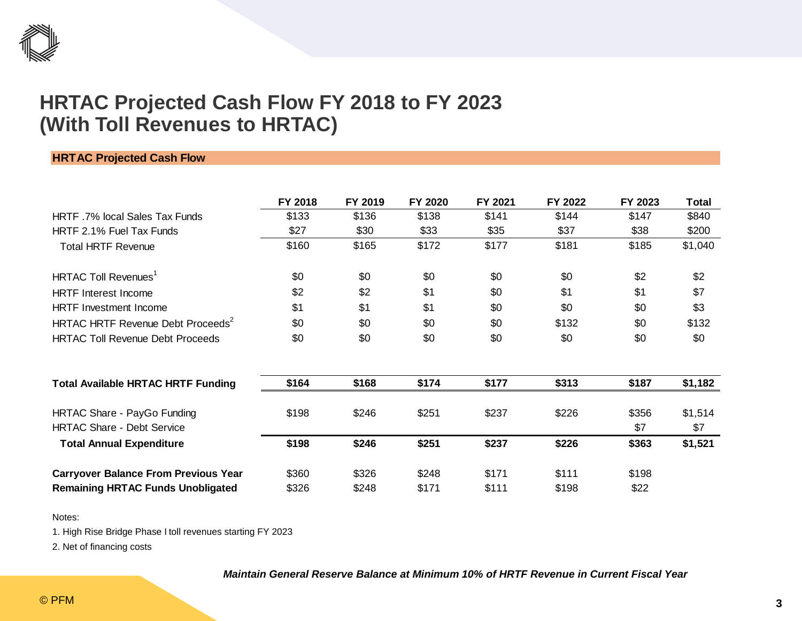

### **HRTAC Projected Cash Flow FY 2018 to FY 2023 (With Toll Revenues to HRTAC)**

#### **HRTAC Projected Cash Flow**

|                                               | FY 2018 | FY 2019 | FY 2020 | FY 2021 | FY 2022 | FY 2023 | <b>Total</b> |
|-----------------------------------------------|---------|---------|---------|---------|---------|---------|--------------|
| HRTF 7% local Sales Tax Funds                 | \$133   | \$136   | \$138   | \$141   | \$144   | \$147   | \$840        |
| HRTF 2.1% Fuel Tax Funds                      | \$27    | \$30    | \$33    | \$35    | \$37    | \$38    | \$200        |
| <b>Total HRTF Revenue</b>                     | \$160   | \$165   | \$172   | \$177   | \$181   | \$185   | \$1,040      |
| HRTAC Toll Revenues <sup>1</sup>              | \$0     | \$0     | \$0     | \$0     | \$0     | \$2     | \$2          |
| <b>HRTF</b> Interest Income                   | \$2     | \$2     | \$1     | \$0     | \$1     | \$1     | \$7          |
| <b>HRTF</b> Investment Income                 | \$1     | \$1     | \$1     | \$0     | \$0     | \$0     | \$3          |
| HRTAC HRTF Revenue Debt Proceeds <sup>2</sup> | \$0     | \$0     | \$0     | \$0     | \$132   | \$0     | \$132        |
| <b>HRTAC Toll Revenue Debt Proceeds</b>       | \$0     | \$0     | \$0     | \$0     | \$0     | \$0     | \$0          |
| <b>Total Available HRTAC HRTF Funding</b>     | \$164   | \$168   | \$174   | \$177   | \$313   | \$187   | \$1,182      |
| HRTAC Share - PayGo Funding                   | \$198   | \$246   | \$251   | \$237   | \$226   | \$356   | \$1,514      |
| <b>HRTAC Share - Debt Service</b>             |         |         |         |         |         | \$7     | \$7          |
| <b>Total Annual Expenditure</b>               | \$198   | \$246   | \$251   | \$237   | \$226   | \$363   | \$1,521      |
| <b>Carryover Balance From Previous Year</b>   | \$360   | \$326   | \$248   | \$171   | \$111   | \$198   |              |
| <b>Remaining HRTAC Funds Unobligated</b>      | \$326   | \$248   | \$171   | \$111   | \$198   | \$22    |              |

Notes:

1. High Rise Bridge Phase I toll revenues starting FY 2023

2. Net of financing costs

#### *Maintain General Reserve Balance at Minimum 10% of HRTF Revenue in Current Fiscal Year*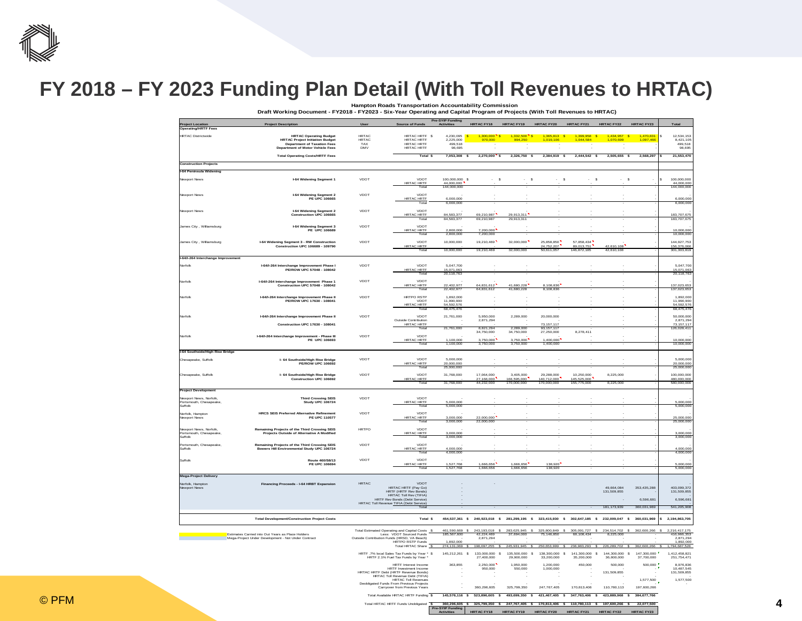

## **FY 2018 – FY 2023 Funding Plan Detail (With Toll Revenues to HRTAC)**

**Hampton Roads Transportation Accountability Commission Draft Working Document - FY2018 - FY2023 - Six-Year Operating and Capital Program of Projects (With Toll Revenues to HRTAC)**

| <b>Project Location</b>                           | <b>Project Description</b>                                                                               |                            | <b>Source of Funds</b>                                                                                                               | <b>Pre-SYIP Funding</b><br><b>Activities</b> | HRTAC FY18 HRTAC FY19 HRTAC FY20                                                                |                              |                             | <b>HRTAC FY21</b>                                                                                                                                                                                                                                       | <b>HRTAC FY22</b>            | <b>HRTAC FY23</b>         | Total                         |
|---------------------------------------------------|----------------------------------------------------------------------------------------------------------|----------------------------|--------------------------------------------------------------------------------------------------------------------------------------|----------------------------------------------|-------------------------------------------------------------------------------------------------|------------------------------|-----------------------------|---------------------------------------------------------------------------------------------------------------------------------------------------------------------------------------------------------------------------------------------------------|------------------------------|---------------------------|-------------------------------|
| erating/HRTF Fees                                 |                                                                                                          |                            |                                                                                                                                      |                                              |                                                                                                 |                              |                             |                                                                                                                                                                                                                                                         |                              |                           |                               |
| <b>HRTAC Districtwide</b>                         | <b>HRTAC Operating Budget</b>                                                                            | <b>HRTAC</b>               | HRTAC HRTF \$                                                                                                                        | 4.230.095 S                                  | $1,300,000$ S                                                                                   | $1.332.500$ S                | $1.365.813$ S               | 1.399.958 S                                                                                                                                                                                                                                             | 1.434.957 S                  | 1.470.831                 | 12.534.153<br>s               |
|                                                   | <b>HRTAC Project Initiation Budget</b><br><b>Department of Taxation Fees</b>                             | <b>HRTAC</b><br><b>TAX</b> | HRTAC HRTF<br><b>HRTAC HRTF</b>                                                                                                      | 2,225,000<br>499.518                         | 970,000                                                                                         |                              |                             |                                                                                                                                                                                                                                                         |                              | .097.46                   | 8,421,105<br>499.518          |
|                                                   | ent of Motor Vehicle Fees<br>Det                                                                         | DMV                        | <b>HRTAC HRTF</b>                                                                                                                    | 98,695                                       |                                                                                                 |                              |                             |                                                                                                                                                                                                                                                         |                              |                           | 98,695                        |
|                                                   | <b>Total Operating Costs/HRTF Fees</b>                                                                   |                            | Total \$                                                                                                                             |                                              | 7,053,308 \$2,270,000 \$2,326,750 \$2,384,919 \$2,444,542 \$2,505,655 \$2,568,297               |                              |                             |                                                                                                                                                                                                                                                         |                              |                           | 21,553,470                    |
| <b>Construction Projects</b>                      |                                                                                                          |                            |                                                                                                                                      |                                              |                                                                                                 |                              |                             |                                                                                                                                                                                                                                                         |                              |                           |                               |
|                                                   |                                                                                                          |                            |                                                                                                                                      |                                              |                                                                                                 |                              |                             |                                                                                                                                                                                                                                                         |                              |                           |                               |
| I-64 Peninsula Widening                           |                                                                                                          |                            |                                                                                                                                      |                                              |                                                                                                 |                              |                             |                                                                                                                                                                                                                                                         |                              |                           |                               |
| Newport News                                      | I-64 Widening Segment                                                                                    | VDOT                       | VDOT<br>HRTAC HRTF                                                                                                                   | 100,000,000 \$<br>44.000.000                 | $-5$                                                                                            | - \$                         | $-5$                        | $\mathbb{S}$                                                                                                                                                                                                                                            | $-5$                         |                           | 100,000,000<br>44,000,000     |
|                                                   |                                                                                                          |                            |                                                                                                                                      | 144,000,000                                  |                                                                                                 |                              |                             |                                                                                                                                                                                                                                                         |                              |                           | 144,000,000                   |
| Newport News                                      | <b>I-64 Widening Seament 2</b>                                                                           | VDOT                       | VDOT                                                                                                                                 |                                              |                                                                                                 |                              |                             |                                                                                                                                                                                                                                                         |                              |                           |                               |
|                                                   | <b>PE UPC 106665</b>                                                                                     |                            | HRTAC HRTE                                                                                                                           | 6,000,000                                    |                                                                                                 |                              |                             |                                                                                                                                                                                                                                                         |                              |                           | 6,000,000                     |
|                                                   |                                                                                                          |                            | Tota                                                                                                                                 | 6.000.000                                    |                                                                                                 |                              |                             |                                                                                                                                                                                                                                                         |                              |                           | 6,000,000                     |
| lewport News                                      | <b>I-64 Widening Segment 2</b><br>Construction UPC 106665                                                | VDOT                       | VDOT<br>HRTAC HRTF                                                                                                                   | 84.583.377                                   | 69.210.987                                                                                      | 29.913.311                   |                             |                                                                                                                                                                                                                                                         |                              |                           | 183 707 675                   |
|                                                   |                                                                                                          |                            | Total                                                                                                                                | 84.583.377                                   | 69.210.987                                                                                      | 29.913.311                   |                             |                                                                                                                                                                                                                                                         |                              |                           | 183,707.675                   |
| James City, Williamsburg                          |                                                                                                          | VDOT                       | VDOT                                                                                                                                 |                                              |                                                                                                 |                              |                             |                                                                                                                                                                                                                                                         |                              |                           |                               |
|                                                   | I-64 Widening Segment 3<br>PE UPC 106689                                                                 |                            | HRTAC HRTF                                                                                                                           | 2.800.000<br>2,800,000                       | 7.200.000<br>7,200,000                                                                          |                              |                             |                                                                                                                                                                                                                                                         |                              |                           | 10,000,000                    |
|                                                   |                                                                                                          |                            | Tota                                                                                                                                 |                                              |                                                                                                 |                              |                             |                                                                                                                                                                                                                                                         |                              |                           | 10,000,000                    |
| ames City, Williamsburg                           | I-64 Widening Segment 3 - RW Construction<br>Construction UPC 106689 - 109790                            | VDOT                       | VDOT                                                                                                                                 | 10.000.000                                   | 19.210.469                                                                                      | 32,000,000                   | 25 858 850<br>24,752,207    | 57 858 434<br>89,013,751                                                                                                                                                                                                                                | 42,610,108                   |                           | 144 927 753<br>156,376,066    |
|                                                   |                                                                                                          |                            | HRTAC HRTF<br>Total                                                                                                                  | 10.000.000                                   | 19.210.469                                                                                      | 32,000,000                   | 50.611.057                  | 146.872.185                                                                                                                                                                                                                                             | 42.610.108                   |                           | 301.303.819                   |
| I-64/I-264 Interchange Improvement                |                                                                                                          |                            |                                                                                                                                      |                                              |                                                                                                 |                              |                             |                                                                                                                                                                                                                                                         |                              |                           |                               |
| Norfolk                                           | I-64/I-264 Interchange Improvement Phase I                                                               | VDOT                       | VDO <sub>1</sub>                                                                                                                     | 5,047,700                                    |                                                                                                 |                              |                             |                                                                                                                                                                                                                                                         |                              |                           | 5,047,700                     |
|                                                   | PE/ROW UPC 57048 - 108042                                                                                |                            | HRTAC HRTF                                                                                                                           | 15,071,063                                   |                                                                                                 |                              |                             |                                                                                                                                                                                                                                                         |                              |                           | 15.071.063                    |
|                                                   |                                                                                                          |                            | Tota                                                                                                                                 | 20,118,763                                   |                                                                                                 |                              |                             |                                                                                                                                                                                                                                                         |                              |                           | 20,118,763                    |
| Vorfolk                                           | I-64/I-264 Interchange Improve<br>Construction UPC 57048 - 108042                                        | VDOT                       | VDOT<br><b>HRTAC HRTF</b>                                                                                                            | 22,402,977                                   | 64,831,612                                                                                      | 41,680,228                   | 8,108,836                   |                                                                                                                                                                                                                                                         |                              |                           |                               |
|                                                   |                                                                                                          |                            | Total                                                                                                                                | 22 402 977                                   | 64 831 612                                                                                      | 41 680 228                   | 8.108.836                   |                                                                                                                                                                                                                                                         |                              |                           | 137,023,653<br>137,023,653    |
| Norfolk                                           |                                                                                                          | VDOT                       | <b>HRTPO RSTP</b>                                                                                                                    | 1.892.000                                    |                                                                                                 |                              |                             |                                                                                                                                                                                                                                                         |                              |                           | 1.892.000                     |
|                                                   | I-64/I-264 Interchange Improvement Phase II<br>PE/ROW UPC 17630 - 108041                                 |                            | VDOT                                                                                                                                 | 11,990,900                                   |                                                                                                 |                              |                             |                                                                                                                                                                                                                                                         |                              |                           | 11,990,900                    |
|                                                   |                                                                                                          |                            | HRTAC HRTF<br>Total                                                                                                                  | 54,592,576<br>68.475.476                     |                                                                                                 |                              |                             |                                                                                                                                                                                                                                                         |                              |                           | 54,592,576<br>68,475,476      |
| Norfolk                                           | I-64/I-264 Interchange Improvement Phase II                                                              | <b>VDOT</b>                | VDOT                                                                                                                                 | 21.761.000                                   | 5.950.000                                                                                       | 2.289.000                    | 20,000,000                  |                                                                                                                                                                                                                                                         |                              |                           | 50,000,000                    |
|                                                   |                                                                                                          |                            | Outside Contribution                                                                                                                 |                                              | 2,871,294                                                                                       |                              |                             |                                                                                                                                                                                                                                                         |                              |                           | 2,871,294<br>73,157,117       |
|                                                   | Construction UPC 17630 - 108041                                                                          |                            | <b>HRTAC HRTF</b><br>Total                                                                                                           | 21,761,000                                   | 8821294                                                                                         | 2.289.000                    | 73.157.117<br>93 157 117    |                                                                                                                                                                                                                                                         |                              |                           | 126.028.41                    |
| Norfolk                                           |                                                                                                          | VDOT                       | VDOT                                                                                                                                 |                                              | 34,750,000                                                                                      | 34,750,000                   | 27,250,000                  | 8,278,411                                                                                                                                                                                                                                               |                              |                           |                               |
|                                                   | I-64/I-264 Interchange Improvement - Phase III<br>PE UPC 106693                                          |                            | HRTAC HRTF                                                                                                                           | 1,100,000                                    | 3.750.000                                                                                       | 3.750.000                    | 1.400.000                   |                                                                                                                                                                                                                                                         |                              |                           | 10,000,00                     |
|                                                   |                                                                                                          |                            | Tota                                                                                                                                 | 1,100,000                                    | 3,750,000                                                                                       | 3,750,000                    | 1,400,000                   |                                                                                                                                                                                                                                                         |                              |                           | 10,000,000                    |
| I-64 Southside/High Rise Bridge                   |                                                                                                          |                            |                                                                                                                                      |                                              |                                                                                                 |                              |                             |                                                                                                                                                                                                                                                         |                              |                           |                               |
| Chesapeake, Suffolk                               | l- 64 Southside/High Rise Bridge<br>PE/ROW UPC 106692                                                    | VDOT                       | VDOT                                                                                                                                 | 5,000,000                                    |                                                                                                 |                              |                             |                                                                                                                                                                                                                                                         |                              |                           | 5,000,000                     |
|                                                   |                                                                                                          |                            | HRTAC HRTF<br>Total                                                                                                                  | 20,000,000<br>25,000,000                     |                                                                                                 |                              |                             |                                                                                                                                                                                                                                                         |                              |                           | 20,000,000<br>25,000,000      |
|                                                   |                                                                                                          |                            |                                                                                                                                      |                                              |                                                                                                 |                              |                             |                                                                                                                                                                                                                                                         |                              |                           |                               |
| Chesapeake, Suffolk                               | I- 64 Southside/High Rise Bridge<br>Construction UPC 106692                                              | VDOT                       | VDOT                                                                                                                                 | 31,768,000                                   | 17,064,000<br>27.168.000                                                                        | 3,405,000<br>66.595.000      | 29,288,000<br>140.712.000   | 10,250,000<br>145.525.000                                                                                                                                                                                                                               | 8,225,000                    |                           | 100,000,000<br>480,000,000    |
|                                                   |                                                                                                          |                            | HRTAC HRTF                                                                                                                           | 31,768,000                                   | 44,232,000                                                                                      | 170,000,000                  | 170,000,000                 | 155,775,000                                                                                                                                                                                                                                             | 8,225,000                    |                           | 580,000,000                   |
| <b>Project Development</b>                        |                                                                                                          |                            |                                                                                                                                      |                                              |                                                                                                 |                              |                             |                                                                                                                                                                                                                                                         |                              |                           |                               |
| Jewnort News Norfolk                              | <b>Third Crossing SEIS</b>                                                                               | VDOT                       | VDOT                                                                                                                                 |                                              |                                                                                                 |                              |                             |                                                                                                                                                                                                                                                         |                              |                           |                               |
| ortsmouth, Chesapeake                             | Study UPC 106724                                                                                         |                            | <b>HRTAC HRTE</b><br>Tota                                                                                                            | 5,000,000<br>5,000,000                       |                                                                                                 |                              |                             |                                                                                                                                                                                                                                                         |                              |                           | $\frac{6,000,000}{5,000,000}$ |
| Suffolk                                           |                                                                                                          |                            |                                                                                                                                      |                                              |                                                                                                 |                              |                             |                                                                                                                                                                                                                                                         |                              |                           |                               |
| Norfolk, Hampton<br>lewport News                  | <b>HRCS SEIS Preferred Alternative Refi</b><br>PE UPC 110577                                             | VDOT                       | VDO <sub>1</sub><br>HRTAC HRTF                                                                                                       | 3,000,000                                    | 22,000,000                                                                                      |                              |                             |                                                                                                                                                                                                                                                         |                              |                           | 25,000,000                    |
|                                                   |                                                                                                          |                            | Tota                                                                                                                                 | 3,000,000                                    | 22,000,000                                                                                      |                              |                             |                                                                                                                                                                                                                                                         |                              |                           | 25,000,000                    |
| Newport News, Norfolk,<br>Portsmouth, Chesapeake, | Remaining Projects of the Third Crossing SEIS                                                            | <b>HRTPO</b>               | VDOT                                                                                                                                 |                                              |                                                                                                 |                              |                             |                                                                                                                                                                                                                                                         |                              |                           |                               |
| Suffolk                                           | Projects Outside of Alternative A Modified                                                               |                            | HRTAC HRTF<br>Total                                                                                                                  | 3,000,000<br>3.000.000                       |                                                                                                 |                              |                             |                                                                                                                                                                                                                                                         |                              |                           | 3,000,000<br>3,000,000        |
|                                                   |                                                                                                          |                            |                                                                                                                                      |                                              |                                                                                                 |                              |                             |                                                                                                                                                                                                                                                         |                              |                           |                               |
| Portsmouth, Chesapeake<br>Suffolk                 | Remaining Projects of the Third Crossing SEIS<br>Bowers Hill Environmental Study UPC 106724              | VDOT                       | VDOT<br>HRTAC HRTF                                                                                                                   |                                              |                                                                                                 |                              |                             |                                                                                                                                                                                                                                                         |                              |                           |                               |
|                                                   |                                                                                                          |                            | Tota                                                                                                                                 | 4,000,000<br>4,000,000                       |                                                                                                 |                              |                             |                                                                                                                                                                                                                                                         |                              |                           | 4,000,000<br>4,000,000        |
| Suffolk                                           | <b>Route 460/58/13</b>                                                                                   | VDOT                       | VDOT                                                                                                                                 |                                              |                                                                                                 |                              |                             |                                                                                                                                                                                                                                                         |                              |                           |                               |
|                                                   | <b>PE UPC 106694</b>                                                                                     |                            | HRTAC HRTF<br>Tota                                                                                                                   | 527,768<br>1.527.768                         | ,666,656<br>1.666.656                                                                           | 1.666.656<br>1.666.656       | 138,920<br>138.920          |                                                                                                                                                                                                                                                         |                              |                           | $\frac{6,000,000}{5,000,000}$ |
| Mega-Project Delivery                             |                                                                                                          |                            |                                                                                                                                      |                                              |                                                                                                 |                              |                             |                                                                                                                                                                                                                                                         |                              |                           |                               |
|                                                   |                                                                                                          |                            |                                                                                                                                      |                                              |                                                                                                 |                              |                             |                                                                                                                                                                                                                                                         |                              |                           |                               |
| Norfolk, Hamptor<br>Newport News                  | Financing Proceeds - I-64 HRBT Expansion                                                                 | <b>HRTAC</b>               | VDOT<br>HRTAC HRTF (Pay Go)                                                                                                          |                                              |                                                                                                 |                              |                             |                                                                                                                                                                                                                                                         | 49.664.084                   | 353.435.288               | 403.099.372                   |
|                                                   |                                                                                                          |                            | HRTF (HRTF Rev Bonds)<br>HRTAC Toll Rev (TIFIA)                                                                                      |                                              |                                                                                                 |                              |                             |                                                                                                                                                                                                                                                         | 131,509,855                  |                           | 131,509,855                   |
|                                                   |                                                                                                          |                            | HRTF Rev Bonds (Debt Service)<br>HRTAC Toll Revenue TIFIA (Debt Service)                                                             |                                              |                                                                                                 |                              |                             |                                                                                                                                                                                                                                                         |                              | 6,596,681                 | 6,596.681                     |
|                                                   |                                                                                                          |                            |                                                                                                                                      |                                              |                                                                                                 |                              |                             |                                                                                                                                                                                                                                                         | 181.173.939 360.031.969      |                           | 541,205,908                   |
|                                                   |                                                                                                          |                            |                                                                                                                                      |                                              |                                                                                                 |                              |                             |                                                                                                                                                                                                                                                         |                              |                           |                               |
|                                                   | <b>Total Development/Construction Project Costs</b>                                                      |                            | Total \$                                                                                                                             |                                              | 454,537,361 \$240,923,018 \$281,299,195 \$323,415,930 \$302,647,185 \$232,009,047 \$360,031,969 |                              |                             |                                                                                                                                                                                                                                                         |                              |                           | \$2,194,863,705               |
|                                                   |                                                                                                          |                            |                                                                                                                                      |                                              |                                                                                                 |                              |                             |                                                                                                                                                                                                                                                         |                              |                           |                               |
|                                                   |                                                                                                          |                            | Total Estimated Operating and Capital Costs \$<br>Less: VDOT Sourced Funds                                                           | 461,590,669 \$<br>185,567,600                |                                                                                                 |                              |                             | $\begin{array}{cccccccccccc} 243,193,018&\text{\textbf{S}}&283,625,945&\text{\textbf{S}}&325,800,849&\text{\textbf{S}}&305,091,727&\text{\textbf{S}}&234,514,702&\text{\textbf{S}}\\ 42,224,469&37,694,000&75,146,850&68,108,434&8,225,000 \end{array}$ |                              | 362,600,266               | 2,216,417,175<br>416,966,353  |
|                                                   | Estimates Carried into Out Years as Place Holders<br>Mega-Project Under Development - Not Under Contract |                            | Outside Contribution Funds (HRSD, VA Beach)                                                                                          |                                              | 2.871.294                                                                                       |                              |                             |                                                                                                                                                                                                                                                         |                              |                           | 2.871.294                     |
|                                                   |                                                                                                          |                            | <b>HRTPO RSTP Funds</b><br>Total HRTAC Share \$                                                                                      | 1,892,000<br>274,131,069 \$                  |                                                                                                 |                              |                             | 198,097,255 \$ 245,931,945 \$ 250,653,999 \$ 236,983,293 \$ 226,289,702 \$ 362,600,266                                                                                                                                                                  |                              |                           | 1.892.000<br>,794,687,528     |
|                                                   |                                                                                                          |                            |                                                                                                                                      |                                              |                                                                                                 |                              |                             |                                                                                                                                                                                                                                                         |                              |                           |                               |
|                                                   |                                                                                                          |                            | HRTF .7% local Sales Tax Funds by Year * \$<br>HRTF 2.1% Fuel Tax Funds by Year *                                                    | 145,212,261 \$                               | 133,000,000 \$<br>27,400,000                                                                    | 135,500,000 \$<br>29,900,000 | 2 000.000.881<br>33,200,000 | 141.300.000 \$<br>35,200,000                                                                                                                                                                                                                            | 144.300.000 \$<br>36,800,000 | 147,300,000<br>37,700,000 | 1 412 458 821<br>251,754,471  |
|                                                   |                                                                                                          |                            | HRTF Interest Income                                                                                                                 | 363,855                                      | 2,250,000                                                                                       | 1,950,000                    | 1,200,000                   | 450,000                                                                                                                                                                                                                                                 | 500,000                      | 500,000                   |                               |
|                                                   |                                                                                                          |                            |                                                                                                                                      |                                              |                                                                                                 |                              |                             |                                                                                                                                                                                                                                                         |                              |                           | 8,976,836<br>10,487,545       |
|                                                   |                                                                                                          |                            | <b>HRTF</b> Investment Income                                                                                                        |                                              | 950,000                                                                                         | 550,000                      | 1,000,000                   |                                                                                                                                                                                                                                                         |                              |                           |                               |
|                                                   |                                                                                                          |                            | HRTAC HRTF Debt (HRTF Revenue Bonds)                                                                                                 |                                              |                                                                                                 |                              |                             |                                                                                                                                                                                                                                                         | 131,509,855                  |                           | 131,509,855                   |
|                                                   |                                                                                                          |                            | HRTAC Toll Revenue Debt (TIFIA)<br>HRTAC Toll Revenue Debt (TIFIA)                                                                   |                                              |                                                                                                 |                              |                             |                                                                                                                                                                                                                                                         |                              | 1,577,500                 | 1,577,500                     |
|                                                   |                                                                                                          |                            | Deobligated Funds From Previous Projects<br>Carryover from Previous Years                                                            |                                              | 360.296.605                                                                                     | 325 799 350                  | 247 767 405                 | 170 813 406                                                                                                                                                                                                                                             | 110,780,113                  | 197.600.266               |                               |
|                                                   |                                                                                                          |                            | Total Available HRTAC HRTF Funding \$145,576,116 \$523,896,605 \$493,699,350 \$421,467,405 \$347,763,406 \$423,889,968 \$384,677,766 |                                              |                                                                                                 |                              |                             |                                                                                                                                                                                                                                                         |                              |                           |                               |

 **Pre-SYIP Funding** 

**ACTIVITY HRTAC FY19 HRTAC FY20 HRTAC FY21 HRTAC FY22**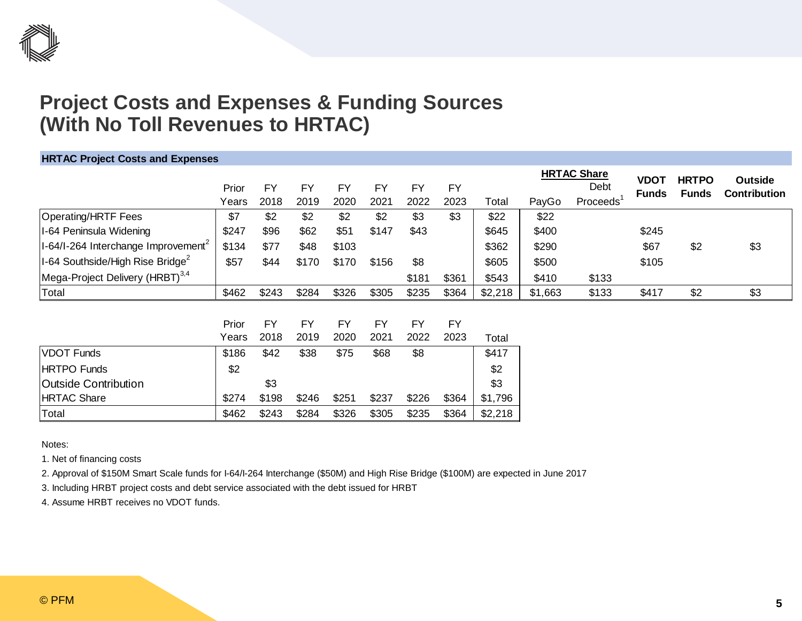### **Project Costs and Expenses & Funding Sources (With No Toll Revenues to HRTAC)**

#### **HRTAC Project Costs and Expenses**

|                                                  |       |           |           |           |           |           |           |         |         | <b>HRTAC Share</b>    | <b>VDOT</b>  | <b>HRTPO</b> | <b>Outside</b>      |
|--------------------------------------------------|-------|-----------|-----------|-----------|-----------|-----------|-----------|---------|---------|-----------------------|--------------|--------------|---------------------|
|                                                  | Prior | <b>FY</b> | <b>FY</b> | <b>FY</b> | <b>FY</b> | <b>FY</b> | <b>FY</b> |         |         | Debt                  | <b>Funds</b> | Funds        | <b>Contribution</b> |
|                                                  | Years | 2018      | 2019      | 2020      | 2021      | 2022      | 2023      | Total   | PayGo   | Proceeds <sup>1</sup> |              |              |                     |
| Operating/HRTF Fees                              | \$7   | \$2       | \$2       | \$2       | \$2       | \$3       | \$3       | \$22    | \$22    |                       |              |              |                     |
| I-64 Peninsula Widening                          | \$247 | \$96      | \$62      | \$51      | \$147     | \$43      |           | \$645   | \$400   |                       | \$245        |              |                     |
| II-64/I-264 Interchange Improvement <sup>2</sup> | \$134 | \$77      | \$48      | \$103     |           |           |           | \$362   | \$290   |                       | \$67         | \$2          | \$3                 |
| $\left $ I-64 Southside/High Rise Bridge $^{2}$  | \$57  | \$44      | \$170     | \$170     | \$156     | \$8       |           | \$605   | \$500   |                       | \$105        |              |                     |
| Mega-Project Delivery (HRBT) <sup>3,4</sup>      |       |           |           |           |           | \$181     | \$361     | \$543   | \$410   | \$133                 |              |              |                     |
| Total                                            | \$462 | \$243     | \$284     | \$326     | \$305     | \$235     | \$364     | \$2,218 | \$1,663 | \$133                 | \$417        | \$2          | \$3                 |
|                                                  |       |           |           |           |           |           |           |         |         |                       |              |              |                     |
|                                                  | Prior | <b>FY</b> | <b>FY</b> | <b>FY</b> | <b>FY</b> | <b>FY</b> | <b>FY</b> |         |         |                       |              |              |                     |
|                                                  | Years | 2018      | 2019      | 2020      | 2021      | 2022      | 2023      | Total   |         |                       |              |              |                     |
| <b>VDOT Funds</b>                                | \$186 | \$42      | \$38      | \$75      | \$68      | \$8       |           | \$417   |         |                       |              |              |                     |
| <b>HRTPO Funds</b>                               | \$2   |           |           |           |           |           |           | \$2     |         |                       |              |              |                     |
| lOutside Contribution                            |       | \$3       |           |           |           |           |           | \$3     |         |                       |              |              |                     |
| HRTAC Share                                      | \$274 | \$198     | \$246     | \$251     | \$237     | \$226     | \$364     | \$1,796 |         |                       |              |              |                     |
| Total                                            | \$462 | \$243     | \$284     | \$326     | \$305     | \$235     | \$364     | \$2,218 |         |                       |              |              |                     |

Notes:

1. Net of financing costs

2. Approval of \$150M Smart Scale funds for I-64/I-264 Interchange (\$50M) and High Rise Bridge (\$100M) are expected in June 2017

3. Including HRBT project costs and debt service associated with the debt issued for HRBT

4. Assume HRBT receives no VDOT funds.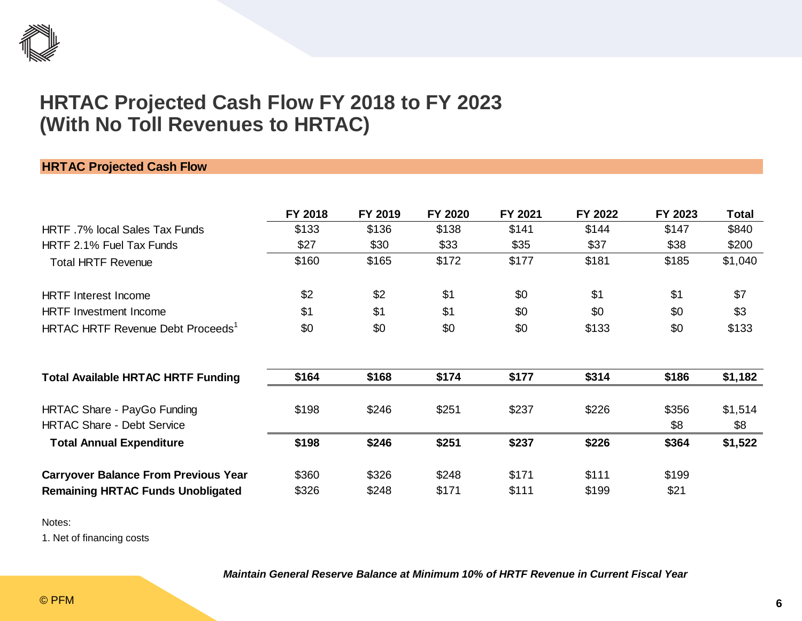

### **HRTAC Projected Cash Flow FY 2018 to FY 2023 (With No Toll Revenues to HRTAC)**

#### **HRTAC Projected Cash Flow**

|                                                                  | FY 2018 | FY 2019 | FY 2020 | FY 2021 | FY 2022 | FY 2023      | <b>Total</b>   |
|------------------------------------------------------------------|---------|---------|---------|---------|---------|--------------|----------------|
| HRTF .7% local Sales Tax Funds                                   | \$133   | \$136   | \$138   | \$141   | \$144   | \$147        | \$840          |
| HRTF 2.1% Fuel Tax Funds                                         | \$27    | \$30    | \$33    | \$35    | \$37    | \$38         | \$200          |
| <b>Total HRTF Revenue</b>                                        | \$160   | \$165   | \$172   | \$177   | \$181   | \$185        | \$1,040        |
| <b>HRTF</b> Interest Income                                      | \$2     | \$2     | \$1     | \$0     | \$1     | \$1          | \$7            |
| <b>HRTF</b> Investment Income                                    | \$1     | \$1     | \$1     | \$0     | \$0     | \$0          | \$3            |
| HRTAC HRTF Revenue Debt Proceeds <sup>1</sup>                    | \$0     | \$0     | \$0     | \$0     | \$133   | \$0          | \$133          |
| <b>Total Available HRTAC HRTF Funding</b>                        | \$164   | \$168   | \$174   | \$177   | \$314   | \$186        | \$1,182        |
| HRTAC Share - PayGo Funding<br><b>HRTAC Share - Debt Service</b> | \$198   | \$246   | \$251   | \$237   | \$226   | \$356<br>\$8 | \$1,514<br>\$8 |
| <b>Total Annual Expenditure</b>                                  | \$198   | \$246   | \$251   | \$237   | \$226   | \$364        | \$1,522        |
| <b>Carryover Balance From Previous Year</b>                      | \$360   | \$326   | \$248   | \$171   | \$111   | \$199        |                |
| <b>Remaining HRTAC Funds Unobligated</b>                         | \$326   | \$248   | \$171   | \$111   | \$199   | \$21         |                |

Notes:

1. Net of financing costs

*Maintain General Reserve Balance at Minimum 10% of HRTF Revenue in Current Fiscal Year*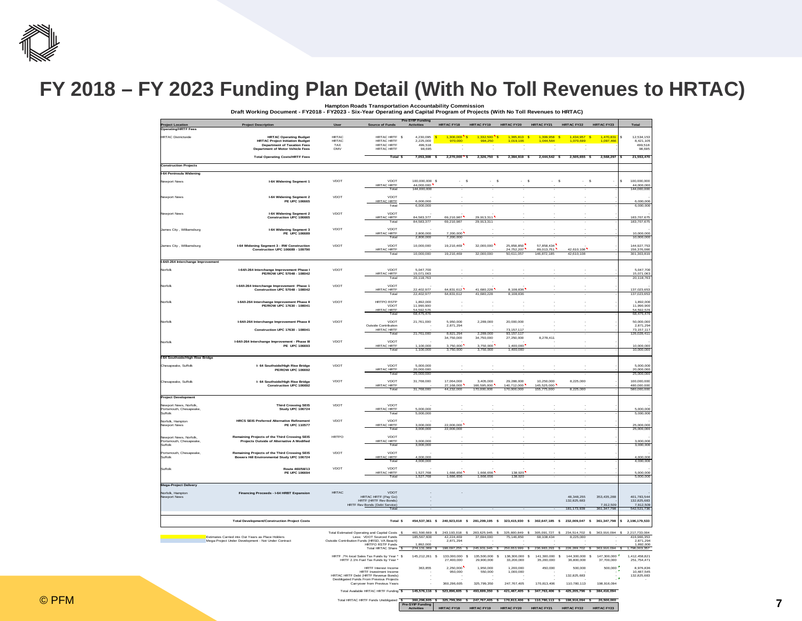

### **FY 2018 – FY 2023 Funding Plan Detail (With No Toll Revenues to HRTAC)**

**Hampton Roads Transportation Accountability Commission Draft Working Document - FY2018 - FY2023 - Six-Year Operating and Capital Program of Projects (With No Toll Revenues to HRTAC)**

|                                                 | Project Description                                                                                      |                              |                                                                                  | Pre-SYIP Funding<br><b>Activities</b> | <b>HRTAC FY18</b>        | <b>HRTAC FY19</b>                           | <b>HRTAC FY20</b>            | <b>HRTAC FY21</b>                                                                                     | <b>HRTAC FY22</b>         | <b>HRTAC FY23</b>                      |                                  |
|-------------------------------------------------|----------------------------------------------------------------------------------------------------------|------------------------------|----------------------------------------------------------------------------------|---------------------------------------|--------------------------|---------------------------------------------|------------------------------|-------------------------------------------------------------------------------------------------------|---------------------------|----------------------------------------|----------------------------------|
| <b>Project Location<br/>Operating/HRTF Fees</b> |                                                                                                          |                              |                                                                                  |                                       |                          |                                             |                              |                                                                                                       |                           |                                        |                                  |
| <b>HRTAC Districtwide</b>                       | <b>HRTAC Operating Budget</b>                                                                            | <b>HRTAC</b><br><b>HRTAC</b> | HRTAC HRTF \$                                                                    | 4.230.095 S                           | $1.300.000$ S<br>970,000 | $1.332.500$ S<br>994,250                    | $1,365.813$ S<br>1,019,106   | 1.399.958 S<br>1,044,584                                                                              | 1.434.957<br>1,070,699    | 1,470,831<br>$\mathbf{s}$<br>1,097,466 | 12,534,153<br>$\mathbf{s}$       |
|                                                 | <b>HRTAC Project Initiation Budget</b><br><b>Department of Taxation Fees</b>                             | <b>TAX</b>                   | HRTAC HRTF<br><b>HRTAC HRTF</b>                                                  | 2,225,000<br>499.518                  |                          |                                             |                              |                                                                                                       |                           |                                        | 8,421,105<br>499.518             |
|                                                 | <b>Department of Motor Vehicle Fees</b>                                                                  | DMV                          | <b>HRTAC HRTF</b>                                                                | 98,695                                |                          |                                             |                              |                                                                                                       |                           |                                        | 98,695                           |
|                                                 | <b>Total Operating Costs/HRTF Fees</b>                                                                   |                              | Total \$                                                                         | 7,053,308 \$                          | $2.270.000$ S            | 2.326.750 \$                                | 2.384.919 \$                 | 2.444.542 S                                                                                           | 2.505.655 \$              | 2.568.29                               | 21,553,470                       |
| <b>Construction Projects</b>                    |                                                                                                          |                              |                                                                                  |                                       |                          |                                             |                              |                                                                                                       |                           |                                        |                                  |
| I-64 Peninsula Widening                         |                                                                                                          |                              |                                                                                  |                                       |                          |                                             |                              |                                                                                                       |                           |                                        |                                  |
| Newport News                                    | I-64 Widening Segment 1                                                                                  | <b>VDOT</b>                  | VDOT<br><b>HRTAC HRTF</b>                                                        | 100,000,000 \$<br>44,000,000          | s                        | S.                                          |                              | s                                                                                                     | s                         | s                                      | \$.<br>100.000.000<br>44,000,000 |
|                                                 |                                                                                                          |                              | Total                                                                            | 144.000.000                           |                          |                                             |                              |                                                                                                       |                           |                                        | 144,000,000                      |
| Newport News                                    | I-64 Widening Seament 2<br><b>PE UPC 106665</b>                                                          | VDOT                         | VDOT<br><b>HRTAC HRTF</b>                                                        | 6,000,000                             |                          |                                             |                              |                                                                                                       |                           |                                        | 6,000,000                        |
|                                                 |                                                                                                          |                              | Total                                                                            | 6,000,000                             |                          |                                             |                              |                                                                                                       |                           |                                        | 6,000,000                        |
| <b>Newport News</b>                             | I-64 Widening Segment 2<br><b>Construction UPC 106665</b>                                                | VDOT                         | VDOT                                                                             | 84.583.377                            |                          | 29.913.311                                  |                              |                                                                                                       |                           |                                        |                                  |
|                                                 |                                                                                                          |                              | HRTAC HRTF<br>Total                                                              | 84,583,377                            | 69,210,987<br>69,210,987 | 29,913,311                                  |                              |                                                                                                       |                           |                                        | 183,707,675<br>183,707,675       |
| James City, Williamsburg                        | I-64 Widening Segment 3<br><b>PE UPC 106689</b>                                                          | <b>VDOT</b>                  | VDOT<br><b>HRTAC HRTF</b>                                                        | 2.800.000                             | 7.200.000                |                                             |                              |                                                                                                       |                           |                                        | 10,000,000                       |
|                                                 |                                                                                                          |                              | Total                                                                            | 2,800,000                             | 7.200.000                |                                             |                              |                                                                                                       |                           |                                        | 10.000.000                       |
| James City, Williamsburg                        | I-64 Widening Segment 3 - RW Construction<br>Construction UPC 106689 - 109790                            | VDOT                         | VDOT<br>HRTAC HRTF                                                               | 10,000,000                            | 19,210,469               | 32,000,000                                  | 25,858,850<br>24,752,207     | 57,858,434<br>89,013,751                                                                              |                           |                                        | 144,927,753                      |
|                                                 |                                                                                                          |                              | Total                                                                            | 10,000,000                            | 19,210,469               | 32,000,000                                  | 50.611.057                   | 146,872,185                                                                                           | 42,610,108                |                                        | 156,376,066                      |
| I-64/I-264 Interchange Improvement              |                                                                                                          |                              |                                                                                  |                                       |                          |                                             |                              |                                                                                                       |                           |                                        |                                  |
| Norfolk                                         | I-64/I-264 Interchange Improvement Phase I<br>PE/ROW UPC 57048 - 108042                                  | <b>VDOT</b>                  | VDOT                                                                             | 5,047,700                             |                          |                                             |                              |                                                                                                       |                           |                                        | 5,047,700                        |
|                                                 |                                                                                                          |                              | <b>HRTAC HRTF</b><br>Total                                                       | 15,071,063<br>20.118.763              |                          |                                             |                              |                                                                                                       |                           |                                        | 15,071,063<br>20.118.763         |
| Norfolk                                         | I-64/I-264 Interchange Improvement Phase 1<br>Construction UPC 57048 - 108042                            | VDOT                         | VDOT                                                                             | 22,402,977                            |                          | 41,680,228                                  | 8,108,836                    |                                                                                                       |                           |                                        | 137,023,653                      |
|                                                 |                                                                                                          |                              | <b>HRTAC HRTF</b><br>Total                                                       | 22,402,977                            | 64,831,612<br>64,831,612 | 41.680.228                                  | 8.108.836                    |                                                                                                       |                           |                                        | 137.023.653                      |
| Norfolk                                         | I-64/l-264 Interchange Improvement Phase II                                                              | VDOT                         | <b>HRTPO RSTP</b>                                                                | 1,892,000                             |                          |                                             |                              |                                                                                                       |                           |                                        | 1,892,000                        |
|                                                 | PE/ROW UPC 17630 - 108041                                                                                |                              | VDOT<br><b>HRTAC HRTF</b>                                                        | 11.990.900<br>54,592,576              |                          |                                             |                              |                                                                                                       |                           |                                        | 11.990.900<br>54,592,576         |
|                                                 | I-64/l-264 Interchange Improvement Phase II                                                              | <b>VDOT</b>                  | Total<br>VDOT                                                                    | 68.475.476<br>21,761,000              |                          |                                             | 20,000,000                   |                                                                                                       |                           |                                        | 68.475.476<br>50,000,000         |
| Norfolk                                         |                                                                                                          |                              | Outside Contribution                                                             |                                       | 5,950,000<br>2,871,294   | 2,289,000                                   |                              |                                                                                                       |                           |                                        | 2,871,294                        |
|                                                 | <b>Construction UPC 17630 - 108041</b>                                                                   |                              | <b>HRTAC HRTF</b><br>Tota                                                        | 21,761,000                            | 8,821,29                 | 2,289,000                                   | 73, 157, 117<br>93, 157, 117 |                                                                                                       |                           |                                        | 73, 157, 117<br>126,028,411      |
| Norfolk                                         | I-64/I-264 Interchange Improvement - Phase III                                                           | <b>VDOT</b>                  | VDOT                                                                             |                                       | 34,750,000               | 34 750 000                                  | 27.250.000                   | 8 278 411                                                                                             |                           |                                        |                                  |
|                                                 | PE UPC 106693                                                                                            |                              | <b>HRTAC HRTF</b><br>Total                                                       | 100,000<br>1,100,000                  | 3750.000<br>3,750,000    | 3.750.000<br>3,750,000                      | 1.400.000<br>1,400,000       |                                                                                                       |                           |                                        | 10,000,000<br>10,000,000         |
| I-64 Southside/High Rise Bridge                 |                                                                                                          |                              |                                                                                  |                                       |                          |                                             |                              |                                                                                                       |                           |                                        |                                  |
| Chesapeake, Suffolk                             | I- 64 Southside/High Rise Bridge                                                                         | VDOT                         | VDOT                                                                             | 5,000,000                             |                          |                                             |                              |                                                                                                       |                           |                                        | 5,000,000                        |
|                                                 | <b>PE/ROW UPC 106692</b>                                                                                 |                              | <b>HRTAC HRTF</b><br>Total                                                       | 20,000,000<br>25,000,000              |                          |                                             |                              |                                                                                                       |                           |                                        | 20,000,000<br>25,000,000         |
| Chesapeake, Suffolk                             | I- 64 Southside/High Rise Bridge                                                                         | VDOT                         | VDOT                                                                             | 31,768,000                            | 17,064,000               | 3,405,000                                   | 29,288,000                   | 10,250,000                                                                                            | 8,225,000                 |                                        | 100,000,000                      |
|                                                 | Construction UPC 106692                                                                                  |                              | <b>HRTAC HRTF</b><br>Total                                                       | 31,768,000                            | 27.168.000<br>44.232.000 | 166,595,000<br>170.000.000                  | 140.712.000<br>170,000,000   | 145,525,000<br>155,775,000                                                                            | 8,225,000                 |                                        | 480,000,000<br>580.000.000       |
| <b>Project Development</b>                      |                                                                                                          |                              |                                                                                  |                                       |                          |                                             |                              |                                                                                                       |                           |                                        |                                  |
| Newport News, Norfolk                           | <b>Third Crossing SEIS</b>                                                                               | VDOT                         | VDOT                                                                             |                                       |                          |                                             |                              |                                                                                                       |                           |                                        |                                  |
| Portsmouth, Chesapeake,<br>Suffolk              | Study UPC 106724                                                                                         |                              | <b>HRTAC HRTF</b><br>Total                                                       | 000.000<br>5,000,000                  |                          |                                             |                              |                                                                                                       |                           |                                        | 5,000,000<br>5.000.000           |
| Norfolk, Hampton                                | <b>HRCS SEIS Preferred Alternative Refinement</b>                                                        | VDOT                         | VDOT                                                                             |                                       |                          |                                             |                              |                                                                                                       |                           |                                        |                                  |
| Newport News                                    | PE UPC 110577                                                                                            |                              | <b>HRTAC HRTF</b><br>Total                                                       | 3,000,000<br>3.000.000                | 22,000,000<br>22.000.000 |                                             |                              |                                                                                                       |                           |                                        | 25,000,000<br>25,000,000         |
| Newport News, Norfolk                           | Remaining Projects of the Third Crossing SEIS                                                            | <b>HRTPO</b>                 | VDOT                                                                             |                                       |                          |                                             |                              |                                                                                                       |                           |                                        |                                  |
| Portsmouth, Chesapeake,<br>Suffolk              | Projects Outside of Alternative A Modified                                                               |                              | <b>HRTAC HRTF</b><br>Total                                                       | 3,000,000<br>3.000.000                |                          |                                             |                              |                                                                                                       |                           |                                        | 3,000,000<br>3.000.000           |
| Portsmouth, Chesapeake.                         | Remaining Projects of the Third Crossing SEIS                                                            | VDOT                         | VDOT                                                                             |                                       |                          |                                             |                              |                                                                                                       |                           |                                        |                                  |
| Suffolk                                         | Bowers Hill Environmental Study UPC 106724                                                               |                              | <b>HRTAC HRTF</b><br>Total                                                       | ,000,000<br>4.000.000                 |                          |                                             |                              |                                                                                                       |                           |                                        | 4,000,000<br>4.000.000           |
| Suffolk                                         | Route 460/58/13                                                                                          | VDOT                         | VDOT                                                                             |                                       |                          |                                             |                              |                                                                                                       |                           |                                        |                                  |
|                                                 | PE UPC 106694                                                                                            |                              | <b>HRTAC HRTF</b><br>Total                                                       | ,527,768<br>1.527.768                 | 1,666,656<br>1.666.656   | 1,666,656<br>1.666.656                      | 138,920<br>138,920           |                                                                                                       |                           |                                        | 5,000,000<br>5.000.000           |
| Mega-Project Delivery                           |                                                                                                          |                              |                                                                                  |                                       |                          |                                             |                              |                                                                                                       |                           |                                        |                                  |
| Norfolk, Hampton                                | Financing Proceeds - I-64 HRBT Expansion                                                                 | <b>HRTAC</b>                 | <b>VDOT</b>                                                                      |                                       |                          |                                             |                              |                                                                                                       |                           |                                        |                                  |
| Newport News                                    |                                                                                                          |                              | HRTAC HRTF (Pay Go)<br>HRTF (HRTF Rev Bonds)                                     |                                       |                          |                                             |                              |                                                                                                       | 48,348,255<br>132,825,683 | 353,435,288                            | 401,783,544<br>132,825,683       |
|                                                 |                                                                                                          |                              | <b>HRTF Rev Bonds (Debt Service)</b><br>Total                                    |                                       |                          |                                             |                              |                                                                                                       | 181,173,939               | 7,912,509<br>361, 347, 798             | 7,912,509<br>542,521,736         |
|                                                 |                                                                                                          |                              |                                                                                  |                                       |                          |                                             |                              |                                                                                                       |                           |                                        |                                  |
|                                                 | <b>Total Development/Construction Project Costs</b>                                                      |                              | Total S                                                                          |                                       |                          |                                             |                              | 454.537.361 \$ 240.923.018 \$ 281.299.195 \$ 323.415.930 \$ 302.647.185 \$ 232.009.047 \$ 361.347.798 |                           |                                        | 2.196.179.533                    |
|                                                 |                                                                                                          |                              | Total Estimated Operating and Capital Costs S                                    | 461,590,669<br>-S                     | 243,193,018<br>-S        | 283,625,945                                 | 325,800,849                  | 305,091,727                                                                                           | 234, 514, 702<br>s        | 363,916,094                            | 2,217,733,004                    |
|                                                 | Estimates Carried into Out Years as Place Holders<br>Mega-Project Under Development - Not Under Contract |                              | Less: VDOT Sourced Funds<br>Outside Contribution Funds (HRSD, VA Beach)          | 185,567,600                           | 42.224.469<br>2,871,294  | 37.694.000                                  | 75.146.850                   | 68.108.434                                                                                            | 8.225.000                 |                                        | 416.966.353<br>2,871,294         |
|                                                 |                                                                                                          |                              | <b>HRTPO RSTP Funds</b><br>Total HRTAC Share S                                   | 1.892.000<br>274,131,069              | 198,097,255              | 245,931,945                                 | 250,653,999                  | 236,983,293 \$                                                                                        | 226, 289, 702             | 363,916,094                            | 1,892,000<br>796,003,357         |
|                                                 |                                                                                                          |                              | HRTF .7% local Sales Tax Funds by Year * \$                                      | 145,212,261 \$                        | 133,000,000              | 135,500,000<br>s<br>s                       | 138,300,000                  | 141,300,000<br>s                                                                                      | 144,300,000<br>s          | 147,300,000<br>\$                      | 1,412,458,821                    |
|                                                 |                                                                                                          |                              | HRTF 2.1% Fuel Tax Funds by Year                                                 |                                       | 27,400,000               | 29.900.000                                  | 33,200,000                   | 35,200,000                                                                                            | 36,800,000                | 37,700,000                             | 251.754.471                      |
|                                                 |                                                                                                          |                              | <b>HRTF</b> Interest Income<br>HRTF Investment Income                            | 363,855                               | 2,250,000<br>950,000     | 1,950,000<br>550,000                        | 1,200,000<br>1,000,000       | 450,000                                                                                               | 500,000                   | 500,000                                | 8,976,836<br>10.487.545          |
|                                                 |                                                                                                          |                              | HRTAC HRTF Debt (HRTF Revenue Bonds)<br>Deobligated Funds From Previous Projects |                                       |                          |                                             |                              |                                                                                                       | 132,825,683               |                                        | 132,825,683                      |
|                                                 |                                                                                                          |                              | Carryover from Previous Years<br>Total Available HRTAC HRTF Funding \$           |                                       | 360,296,605              | 325,799,350                                 | 247,767,405                  | 170,813,406                                                                                           | 110,780,113               | 198,916,094                            |                                  |
|                                                 |                                                                                                          |                              |                                                                                  | 145,576,116                           | 23.896.605               | 493.699.350<br>$\mathbf{s}$<br>$\mathbf{S}$ | 421.467.405                  | 347.763.406                                                                                           | 425.205.796               | 384 416 094<br>s.                      |                                  |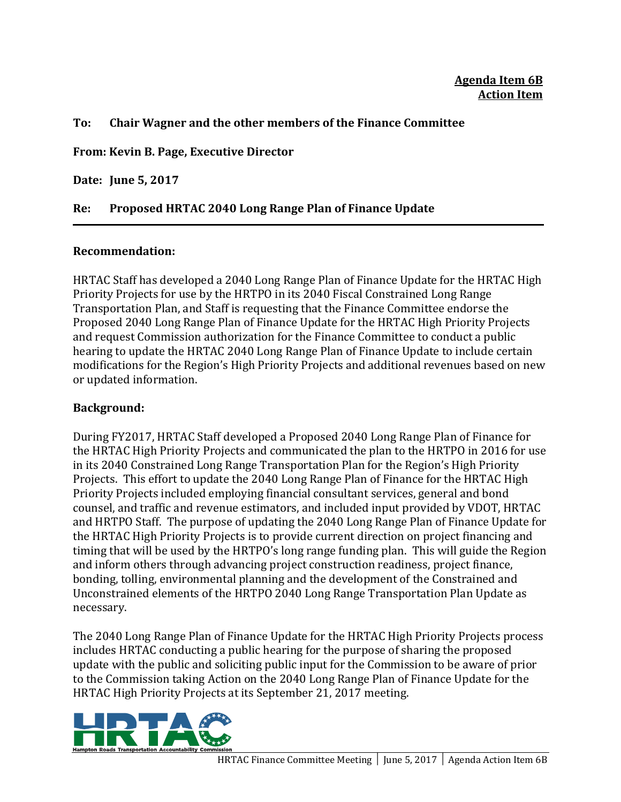#### **To: Chair Wagner and the other members of the Finance Committee**

**From: Kevin B. Page, Executive Director**

**Date: June 5, 2017**

### **Re: Proposed HRTAC 2040 Long Range Plan of Finance Update**

### **Recommendation:**

HRTAC Staff has developed a 2040 Long Range Plan of Finance Update for the HRTAC High Priority Projects for use by the HRTPO in its 2040 Fiscal Constrained Long Range Transportation Plan, and Staff is requesting that the Finance Committee endorse the Proposed 2040 Long Range Plan of Finance Update for the HRTAC High Priority Projects and request Commission authorization for the Finance Committee to conduct a public hearing to update the HRTAC 2040 Long Range Plan of Finance Update to include certain modifications for the Region's High Priority Projects and additional revenues based on new or updated information.

### **Background:**

During FY2017, HRTAC Staff developed a Proposed 2040 Long Range Plan of Finance for the HRTAC High Priority Projects and communicated the plan to the HRTPO in 2016 for use in its 2040 Constrained Long Range Transportation Plan for the Region's High Priority Projects. This effort to update the 2040 Long Range Plan of Finance for the HRTAC High Priority Projects included employing financial consultant services, general and bond counsel, and traffic and revenue estimators, and included input provided by VDOT. HRTAC and HRTPO Staff. The purpose of updating the 2040 Long Range Plan of Finance Update for the HRTAC High Priority Projects is to provide current direction on project financing and timing that will be used by the HRTPO's long range funding plan. This will guide the Region and inform others through advancing project construction readiness, project finance, bonding, tolling, environmental planning and the development of the Constrained and Unconstrained elements of the HRTPO 2040 Long Range Transportation Plan Update as necessary. 

The 2040 Long Range Plan of Finance Update for the HRTAC High Priority Projects process includes HRTAC conducting a public hearing for the purpose of sharing the proposed update with the public and soliciting public input for the Commission to be aware of prior to the Commission taking Action on the 2040 Long Range Plan of Finance Update for the HRTAC High Priority Projects at its September 21, 2017 meeting.

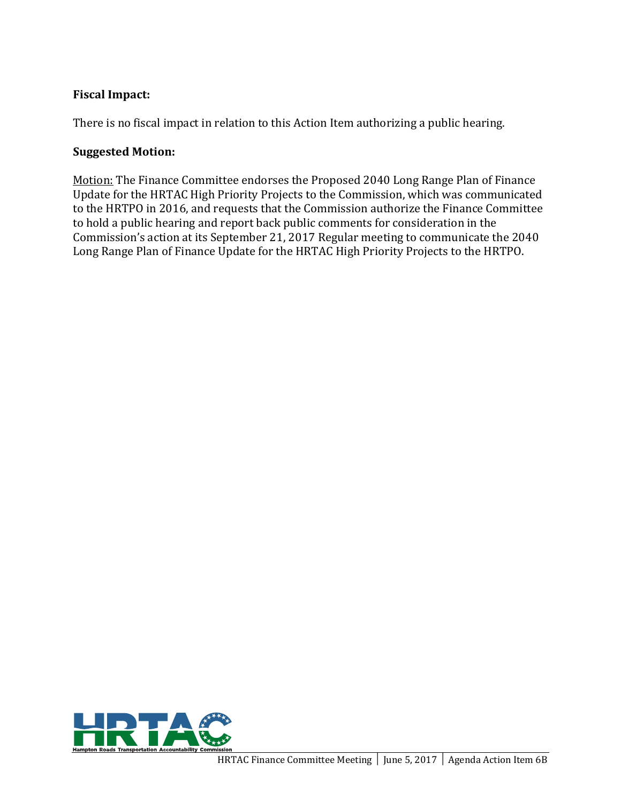### **Fiscal Impact:**

There is no fiscal impact in relation to this Action Item authorizing a public hearing.

### **Suggested Motion:**

Motion: The Finance Committee endorses the Proposed 2040 Long Range Plan of Finance Update for the HRTAC High Priority Projects to the Commission, which was communicated to the HRTPO in 2016, and requests that the Commission authorize the Finance Committee to hold a public hearing and report back public comments for consideration in the Commission's action at its September 21, 2017 Regular meeting to communicate the 2040 Long Range Plan of Finance Update for the HRTAC High Priority Projects to the HRTPO.

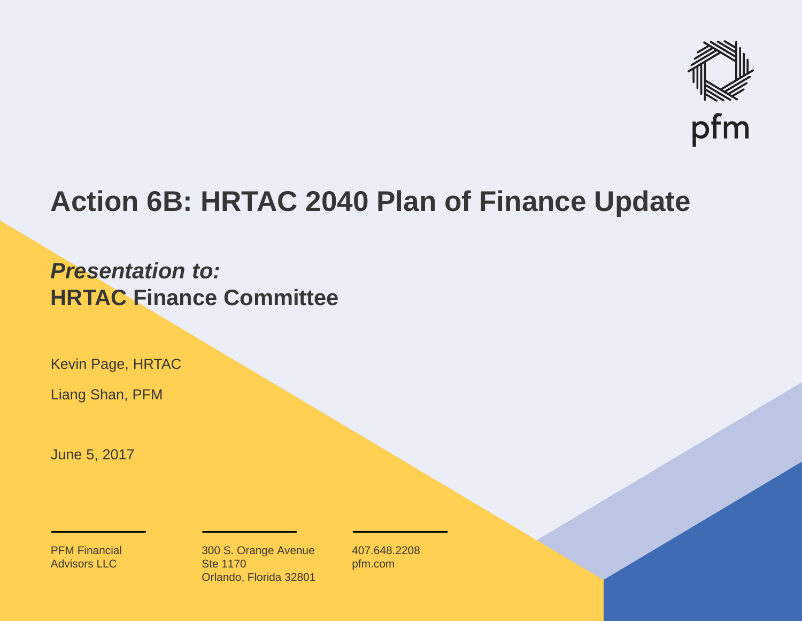

## **Action 6B: HRTAC 2040 Plan of Finance Update**

## *Presentation to:***HRTAC Finance Committee**

Kevin Page, HRTAC

Liang Shan, PFM

June 5, 2017

PFM Financial Advisors LLC

300 S. Orange Avenue Ste 1170Orlando, Florida 32801 407.648.2208pfm.com

**1**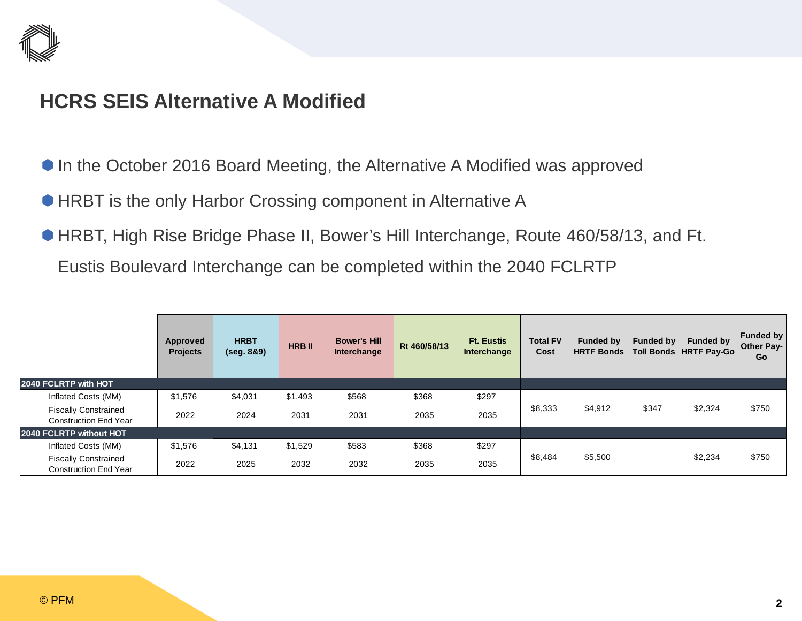

### **HCRS SEIS Alternative A Modified**

- In the October 2016 Board Meeting, the Alternative A Modified was approved
- **HRBT** is the only Harbor Crossing component in Alternative A
- HRBT, High Rise Bridge Phase II, Bower's Hill Interchange, Route 460/58/13, and Ft.

Eustis Boulevard Interchange can be completed within the 2040 FCLRTP

|                                                             | Approved<br><b>Projects</b> | <b>HRBT</b><br>(seg. 8&9) | <b>HRB II</b> | <b>Bower's Hill</b><br>Interchange | Rt 460/58/13 | <b>Ft. Eustis</b><br>Interchange | <b>Total FV</b><br>Cost | <b>Funded by</b> | <b>Funded by</b> | <b>Funded by</b><br>HRTF Bonds Toll Bonds HRTF Pay-Go | <b>Funded by</b><br><b>Other Pay-</b><br>Go |
|-------------------------------------------------------------|-----------------------------|---------------------------|---------------|------------------------------------|--------------|----------------------------------|-------------------------|------------------|------------------|-------------------------------------------------------|---------------------------------------------|
| 2040 FCLRTP with HOT                                        |                             |                           |               |                                    |              |                                  |                         |                  |                  |                                                       |                                             |
| Inflated Costs (MM)                                         | \$1,576                     | \$4,031                   | \$1,493       | \$568                              | \$368        | \$297                            |                         |                  |                  |                                                       |                                             |
| <b>Fiscally Constrained</b><br><b>Construction End Year</b> | 2022                        | 2024                      | 2031          | 2031                               | 2035         | 2035                             | \$8,333                 | \$4,912          | \$347            | \$2,324                                               | \$750                                       |
| 2040 FCLRTP without HOT                                     |                             |                           |               |                                    |              |                                  |                         |                  |                  |                                                       |                                             |
| Inflated Costs (MM)                                         | \$1,576                     | \$4,131                   | \$1,529       | \$583                              | \$368        | \$297                            |                         |                  |                  |                                                       |                                             |
| <b>Fiscally Constrained</b><br><b>Construction End Year</b> | 2022                        | 2025                      | 2032          | 2032                               | 2035         | 2035                             | \$8,484                 | \$5,500          |                  | \$2,234                                               | \$750                                       |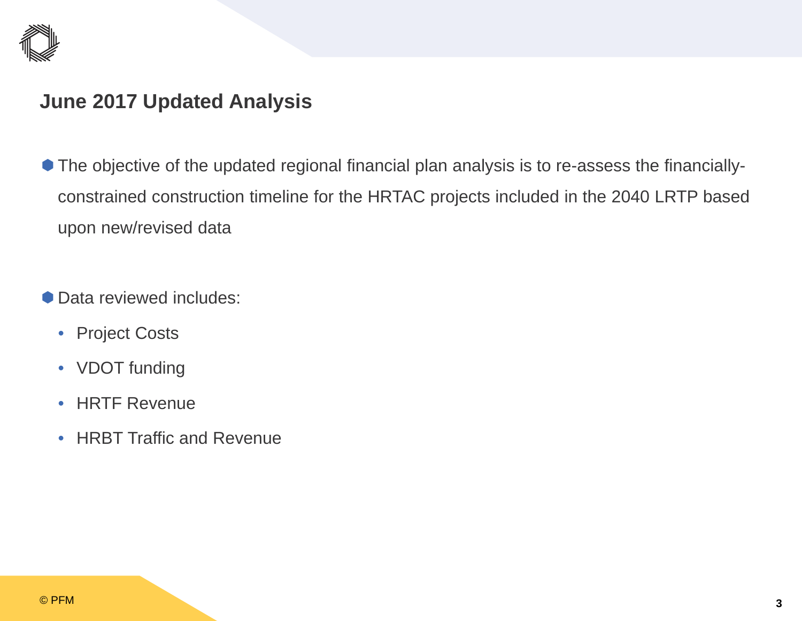

### **June 2017 Updated Analysis**

- The objective of the updated regional financial plan analysis is to re-assess the financiallyconstrained construction timeline for the HRTAC projects included in the 2040 LRTP based upon new/revised data
- **Data reviewed includes:** 
	- Project Costs
	- VDOT funding
	- $\bullet$ HRTF Revenue
	- $\bullet$ HRBT Traffic and Revenue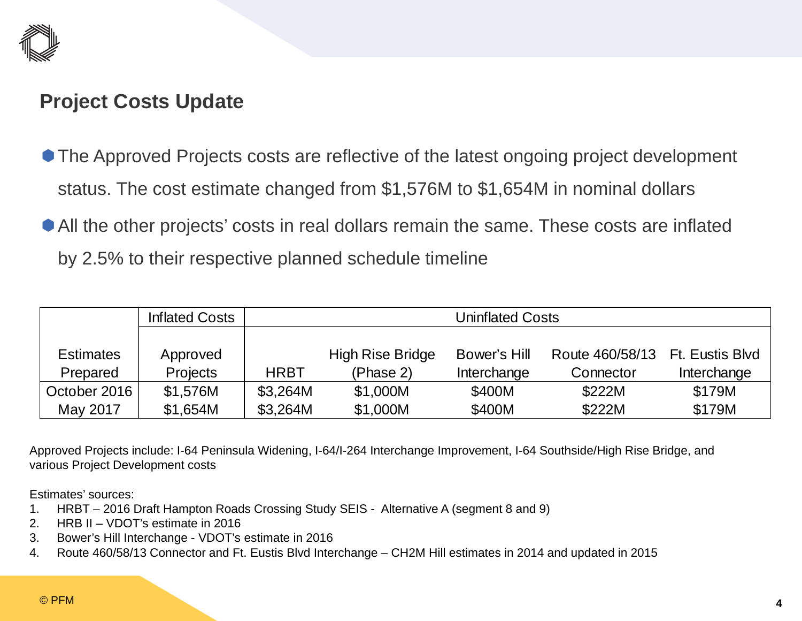

### **Project Costs Update**

- The Approved Projects costs are reflective of the latest ongoing project development status. The cost estimate changed from \$1,576M to \$1,654M in nominal dollars
- All the other projects' costs in real dollars remain the same. These costs are inflated by 2.5% to their respective planned schedule timeline

|              | <b>Inflated Costs</b> |             | Uninflated Costs        |              |                 |                 |  |  |  |  |  |  |  |
|--------------|-----------------------|-------------|-------------------------|--------------|-----------------|-----------------|--|--|--|--|--|--|--|
|              |                       |             |                         |              |                 |                 |  |  |  |  |  |  |  |
| Estimates    | Approved              |             | <b>High Rise Bridge</b> | Bower's Hill | Route 460/58/13 | Ft. Eustis Blvd |  |  |  |  |  |  |  |
| Prepared     | <b>Projects</b>       | <b>HRBT</b> | (Phase 2)               | Interchange  | Connector       | Interchange     |  |  |  |  |  |  |  |
| October 2016 | \$1,576M              | \$3,264M    | \$1,000M                | \$400M       | \$222M          | \$179M          |  |  |  |  |  |  |  |
| May 2017     | \$1,654M              | \$3,264M    | \$1,000M                | \$400M       | \$222M          | \$179M          |  |  |  |  |  |  |  |

Approved Projects include: I-64 Peninsula Widening, I-64/I-264 Interchange Improvement, I-64 Southside/High Rise Bridge, and various Project Development costs

Estimates' sources:

- 1. HRBT 2016 Draft Hampton Roads Crossing Study SEIS Alternative A (segment 8 and 9)
- 2. HRB II VDOT's estimate in 2016
- 3. Bower's Hill Interchange VDOT's estimate in 2016
- 4. Route 460/58/13 Connector and Ft. Eustis Blvd Interchange CH2M Hill estimates in 2014 and updated in 2015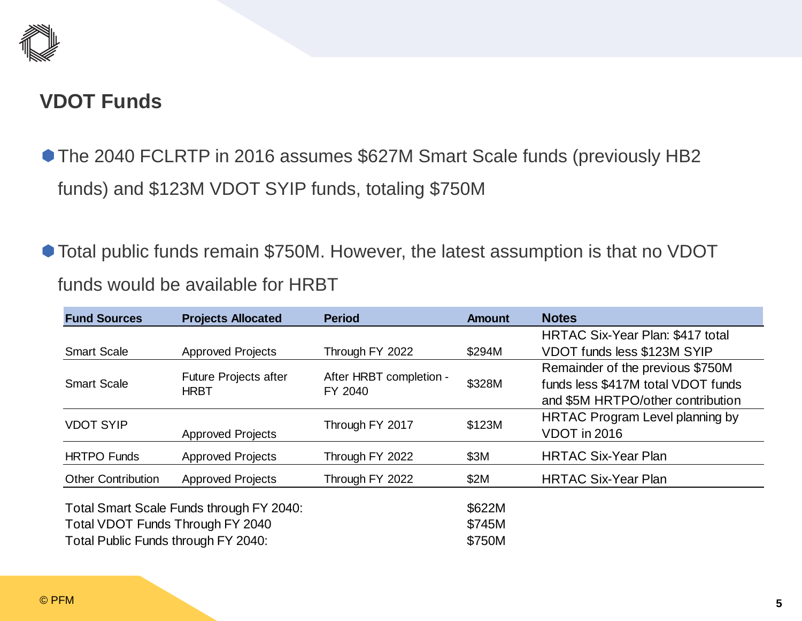

### **VDOT Funds**

- The 2040 FCLRTP in 2016 assumes \$627M Smart Scale funds (previously HB2 funds) and \$123M VDOT SYIP funds, totaling \$750M
- Total public funds remain \$750M. However, the latest assumption is that no VDOT funds would be available for HRBT

| <b>Fund Sources</b>                                                     | <b>Projects Allocated</b>                   | <b>Period</b>                      | <b>Amount</b>              | <b>Notes</b>                                                           |
|-------------------------------------------------------------------------|---------------------------------------------|------------------------------------|----------------------------|------------------------------------------------------------------------|
|                                                                         |                                             |                                    |                            | HRTAC Six-Year Plan: \$417 total                                       |
| <b>Smart Scale</b>                                                      | <b>Approved Projects</b>                    | Through FY 2022                    | \$294M                     | VDOT funds less \$123M SYIP                                            |
| <b>Smart Scale</b>                                                      | <b>Future Projects after</b><br><b>HRBT</b> | After HRBT completion -<br>FY 2040 | \$328M                     | Remainder of the previous \$750M<br>funds less \$417M total VDOT funds |
|                                                                         |                                             |                                    |                            | and \$5M HRTPO/other contribution                                      |
| <b>VDOT SYIP</b>                                                        | <b>Approved Projects</b>                    | Through FY 2017                    | \$123M                     | HRTAC Program Level planning by<br>VDOT in 2016                        |
| <b>HRTPO Funds</b>                                                      | <b>Approved Projects</b>                    | Through FY 2022                    | \$3M                       | <b>HRTAC Six-Year Plan</b>                                             |
| <b>Other Contribution</b>                                               | <b>Approved Projects</b>                    | Through FY 2022                    | \$2M                       | <b>HRTAC Six-Year Plan</b>                                             |
| Total VDOT Funds Through FY 2040<br>Total Public Funds through FY 2040: | Total Smart Scale Funds through FY 2040:    |                                    | \$622M<br>\$745M<br>\$750M |                                                                        |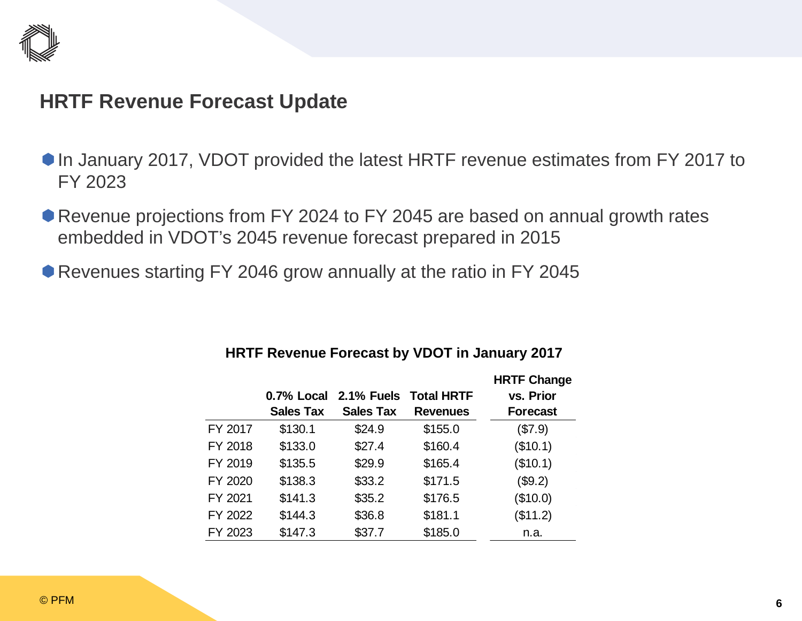

### **HRTF Revenue Forecast Update**

- In January 2017, VDOT provided the latest HRTF revenue estimates from FY 2017 to FY 2023
- Revenue projections from FY 2024 to FY 2045 are based on annual growth rates embedded in VDOT's 2045 revenue forecast prepared in 2015
- Revenues starting FY 2046 grow annually at the ratio in FY 2045

|         |                  |                   |                   | <b>HRTF Change</b> |
|---------|------------------|-------------------|-------------------|--------------------|
|         | 0.7% Local       | <b>2.1% Fuels</b> | <b>Total HRTF</b> | vs. Prior          |
|         | <b>Sales Tax</b> | <b>Sales Tax</b>  | <b>Revenues</b>   | <b>Forecast</b>    |
| FY 2017 | \$130.1          | \$24.9            | \$155.0           | (\$7.9)            |
| FY 2018 | \$133.0          | \$27.4            | \$160.4           | (\$10.1)           |
| FY 2019 | \$135.5          | \$29.9            | \$165.4           | (\$10.1)           |
| FY 2020 | \$138.3          | \$33.2            | \$171.5           | (\$9.2)            |
| FY 2021 | \$141.3          | \$35.2            | \$176.5           | (\$10.0)           |
| FY 2022 | \$144.3          | \$36.8            | \$181.1           | (\$11.2)           |
| FY 2023 | \$147.3          | \$37.7            | \$185.0           | n.a.               |

### **HRTF Revenue Forecast by VDOT in January 2017**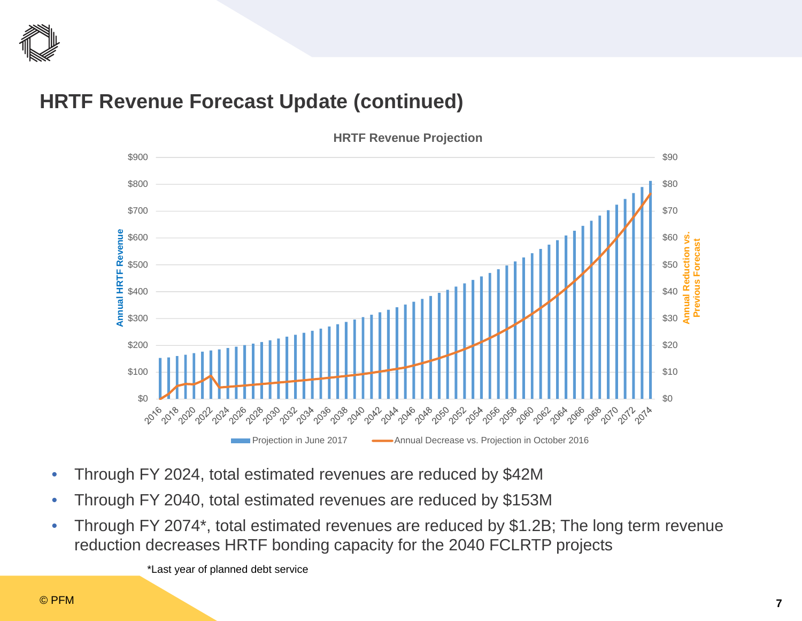

### **HRTF Revenue Forecast Update (continued)**



**HRTF Revenue Projection**

- $\bullet$ Through FY 2024, total estimated revenues are reduced by \$42M
- $\bullet$ Through FY 2040, total estimated revenues are reduced by \$153M
- $\bullet$  Through FY 2074\*, total estimated revenues are reduced by \$1.2B; The long term revenue reduction decreases HRTF bonding capacity for the 2040 FCLRTP projects

\*Last year of planned debt service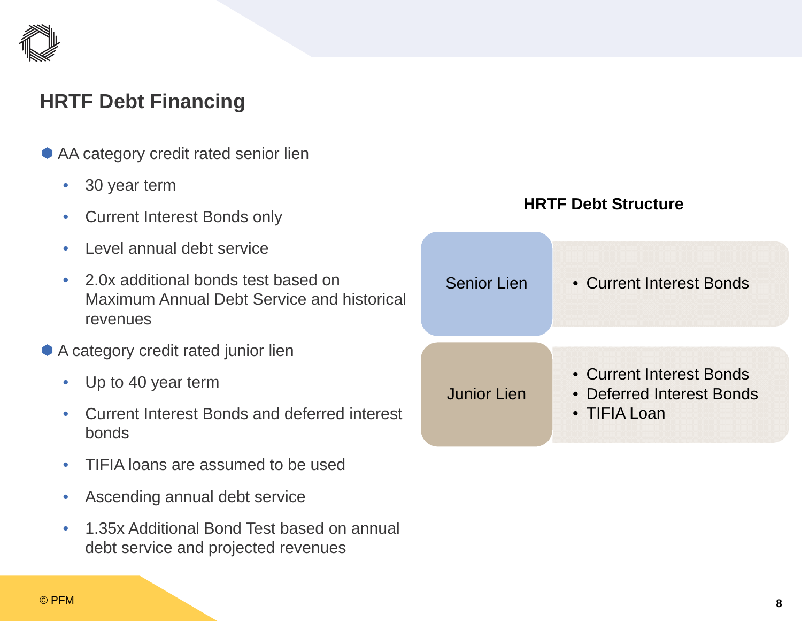

### **HRTF Debt Financing**

- AA category credit rated senior lien
	- $\bullet$ 30 year term
	- •Current Interest Bonds only
	- •Level annual debt service
	- $\bullet$  2.0x additional bonds test based on Maximum Annual Debt Service and historical revenues
- A category credit rated junior lien
	- $\bullet$ Up to 40 year term
	- • Current Interest Bonds and deferred interest bonds
	- •TIFIA loans are assumed to be used
	- $\bullet$ Ascending annual debt service
	- • 1.35x Additional Bond Test based on annual debt service and projected revenues

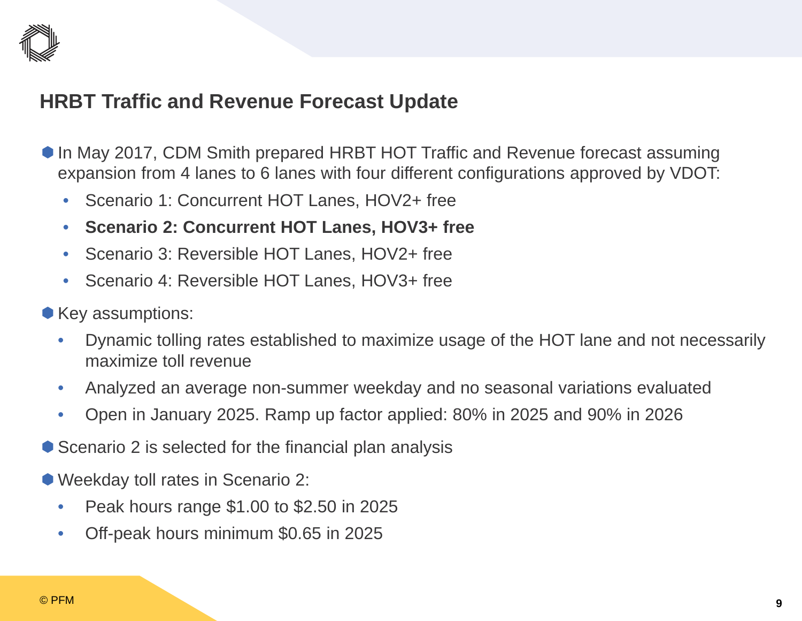

### **HRBT Traffic and Revenue Forecast Update**

- In May 2017, CDM Smith prepared HRBT HOT Traffic and Revenue forecast assuming expansion from 4 lanes to 6 lanes with four different configurations approved by VDOT:
	- •Scenario 1: Concurrent HOT Lanes, HOV2+ free
	- •**Scenario 2: Concurrent HOT Lanes, HOV3+ free**
	- •Scenario 3: Reversible HOT Lanes, HOV2+ free
	- •Scenario 4: Reversible HOT Lanes, HOV3+ free
- Key assumptions:
	- $\bullet$  Dynamic tolling rates established to maximize usage of the HOT lane and not necessarily maximize toll revenue
	- $\bullet$ Analyzed an average non-summer weekday and no seasonal variations evaluated
	- $\bullet$ Open in January 2025. Ramp up factor applied: 80% in 2025 and 90% in 2026
- Scenario 2 is selected for the financial plan analysis
- Weekday toll rates in Scenario 2:
	- $\bullet$ Peak hours range \$1.00 to \$2.50 in 2025
	- $\bullet$ Off-peak hours minimum \$0.65 in 2025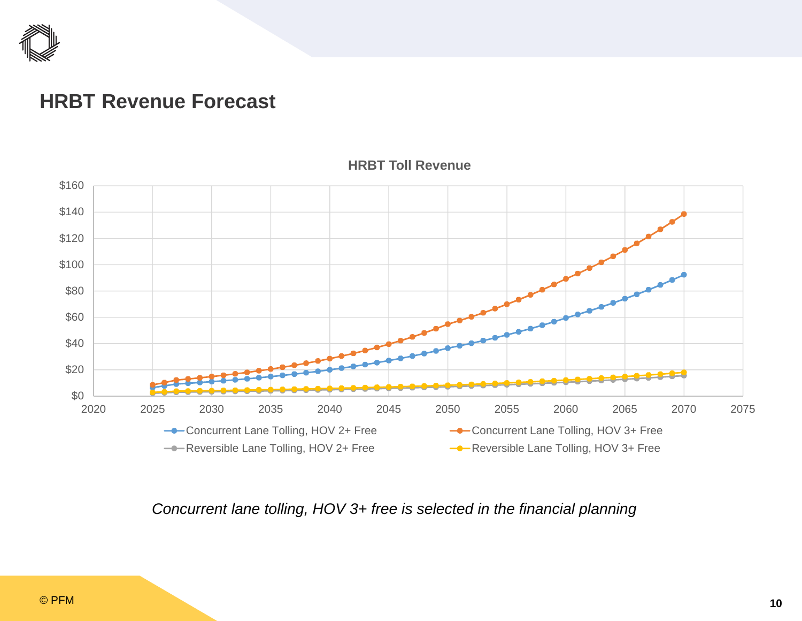

### **HRBT Revenue Forecast**



**HRBT Toll Revenue** 

*Concurrent lane tolling, HOV 3+ free is selected in the financial planning*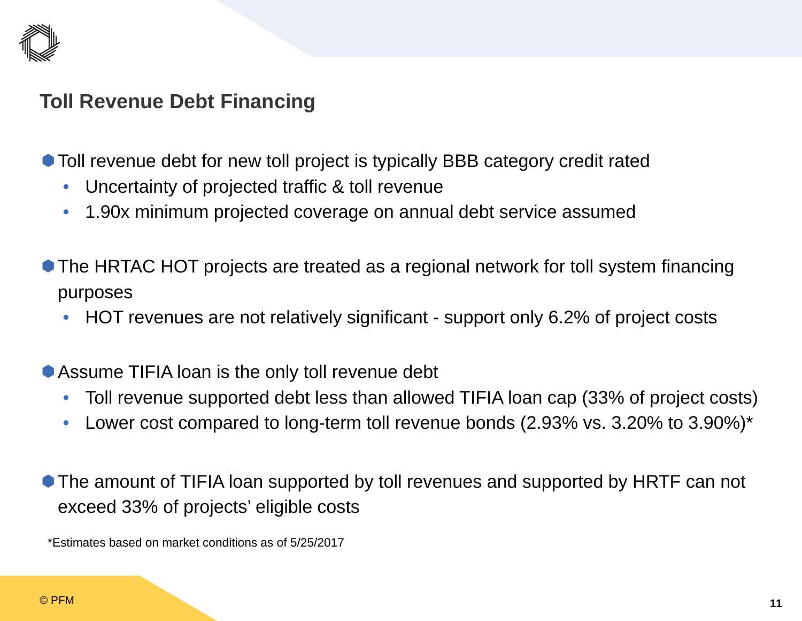

### **Toll Revenue Debt Financing**

- Toll revenue debt for new toll project is typically BBB category credit rated
	- •Uncertainty of projected traffic & toll revenue
	- •1.90x minimum projected coverage on annual debt service assumed
- The HRTAC HOT projects are treated as a regional network for toll system financing purposes
	- •HOT revenues are not relatively significant - support only 6.2% of project costs
- Assume TIFIA loan is the only toll revenue debt
	- $\bullet$ Toll revenue supported debt less than allowed TIFIA loan cap (33% of project costs)
	- •Lower cost compared to long-term toll revenue bonds (2.93% vs. 3.20% to 3.90%)\*
- The amount of TIFIA loan supported by toll revenues and supported by HRTF can not exceed 33% of projects' eligible costs

\*Estimates based on market conditions as of 5/25/2017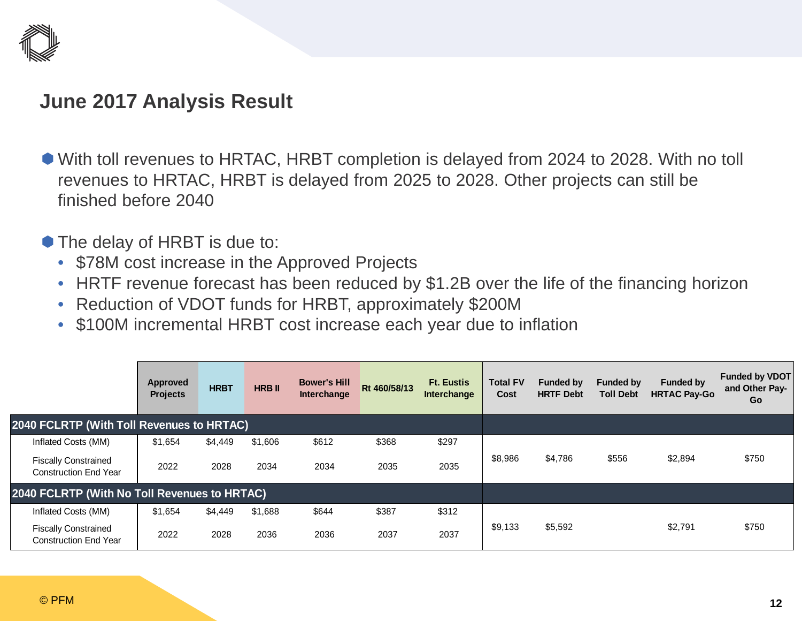

### **June 2017 Analysis Result**

- With toll revenues to HRTAC, HRBT completion is delayed from 2024 to 2028. With no toll revenues to HRTAC, HRBT is delayed from 2025 to 2028. Other projects can still be finished before 2040
- The delay of HRBT is due to:
	- \$78M cost increase in the Approved Projects
	- HRTF revenue forecast has been reduced by \$1.2B over the life of the financing horizon
	- Reduction of VDOT funds for HRBT, approximately \$200M
	- \$100M incremental HRBT cost increase each year due to inflation

|                                                             | Approved<br><b>Projects</b> | <b>HRBT</b> | <b>HRB II</b> | <b>Bower's Hill</b><br>Interchange | Rt 460/58/13 | <b>Ft. Eustis</b><br><b>Interchange</b> | <b>Total FV</b><br>Cost | <b>Funded by</b><br><b>HRTF Debt</b> | <b>Funded by</b><br><b>Toll Debt</b> | <b>Funded by</b><br><b>HRTAC Pay-Go</b> | <b>Funded by VDOT</b><br>and Other Pay-<br>Go |
|-------------------------------------------------------------|-----------------------------|-------------|---------------|------------------------------------|--------------|-----------------------------------------|-------------------------|--------------------------------------|--------------------------------------|-----------------------------------------|-----------------------------------------------|
| 2040 FCLRTP (With Toll Revenues to HRTAC)                   |                             |             |               |                                    |              |                                         |                         |                                      |                                      |                                         |                                               |
| Inflated Costs (MM)                                         | \$1,654                     | \$4,449     | \$1,606       | \$612                              | \$368        | \$297                                   |                         |                                      |                                      |                                         |                                               |
| <b>Fiscally Constrained</b><br><b>Construction End Year</b> | 2022                        | 2028        | 2034          | 2034                               | 2035         | 2035                                    | \$8,986                 | \$4,786                              | \$556                                | \$2,894                                 | \$750                                         |
| 2040 FCLRTP (With No Toll Revenues to HRTAC)                |                             |             |               |                                    |              |                                         |                         |                                      |                                      |                                         |                                               |
| Inflated Costs (MM)                                         | \$1,654                     | \$4,449     | \$1,688       | \$644                              | \$387        | \$312                                   |                         |                                      |                                      |                                         |                                               |
| <b>Fiscally Constrained</b><br><b>Construction End Year</b> | 2022                        | 2028        | 2036          | 2036                               | 2037         | 2037                                    | \$9,133                 | \$5,592                              |                                      | \$2,791                                 | \$750                                         |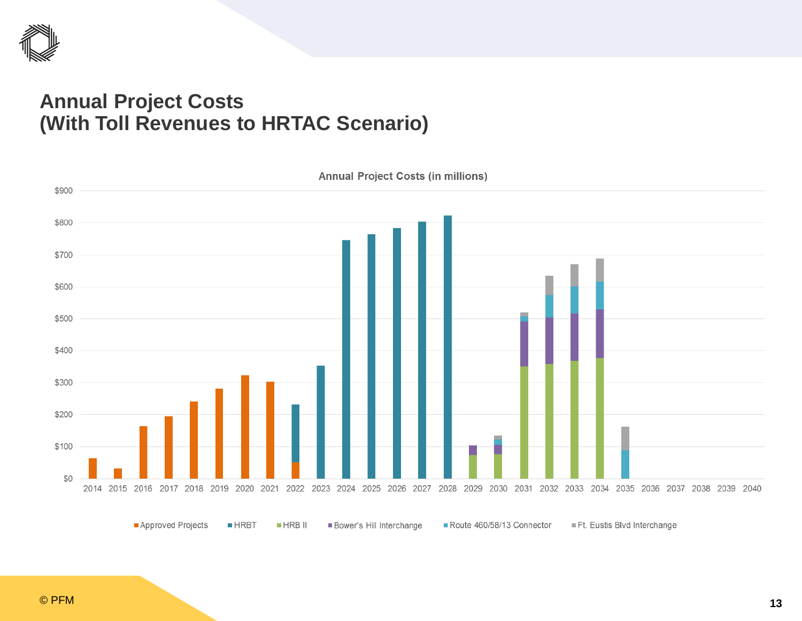

### **Annual Project Costs (With Toll Revenues to HRTAC Scenario)**

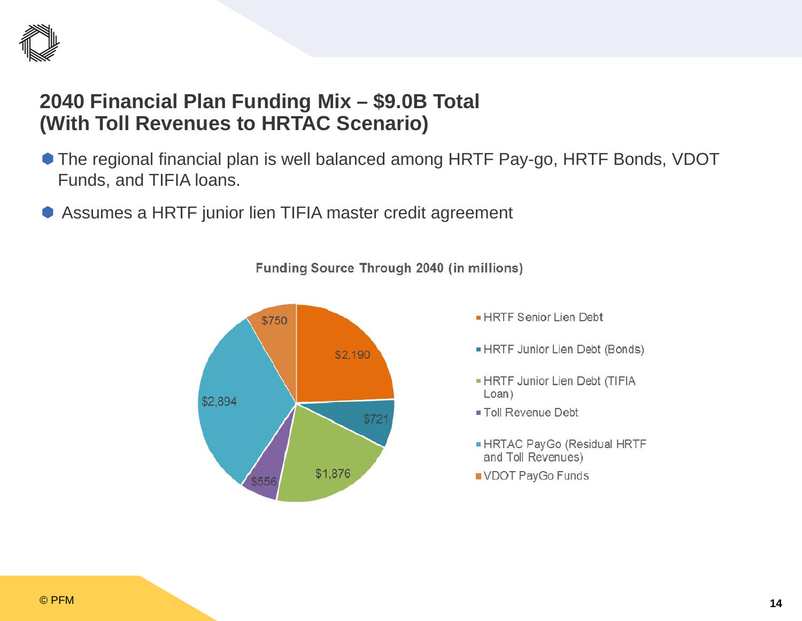

### **2040 Financial Plan Funding Mix – \$9.0B Total (With Toll Revenues to HRTAC Scenario)**

- The regional financial plan is well balanced among HRTF Pay-go, HRTF Bonds, VDOT Funds, and TIFIA loans.
- $\bullet$ Assumes a HRTF junior lien TIFIA master credit agreement

Funding Source Through 2040 (in millions)



- HRTF Senior Lien Debt
- HRTF Junior Lien Debt (Bonds)
- HRTF Junior Lien Debt (TIFIA  $Loan)$
- Toll Revenue Debt
- HRTAC PayGo (Residual HRTF and Toll Revenues)
- VDOT PayGo Funds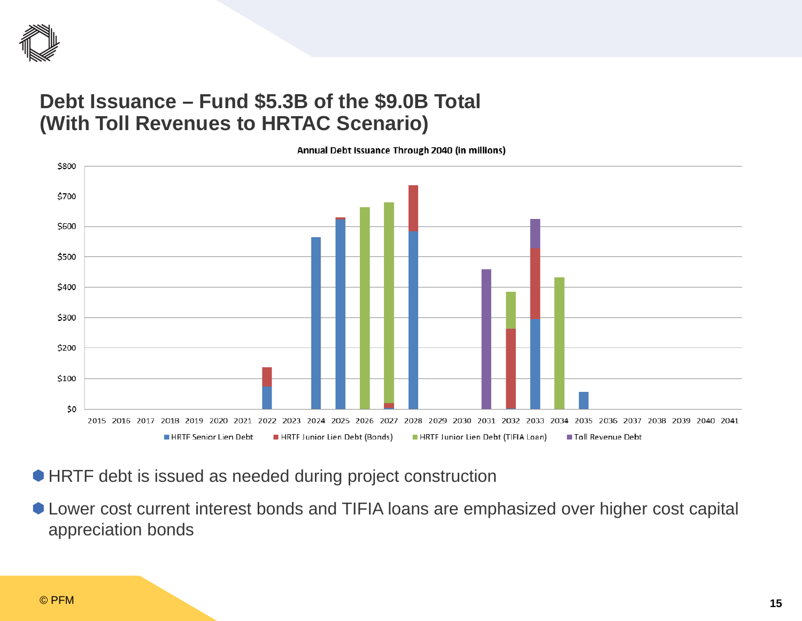

### **Debt Issuance – Fund \$5.3B of the \$9.0B Total (With Toll Revenues to HRTAC Scenario)**

\$800 \$700 \$600 \$500 \$400 \$300 \$200 \$100 \$0 2015 2016 2017 2018 2019 2020 2021 2022 2023 2024 2025 2026 2027 2028 2029 2030 2031 2032 2033 2034 2035 2036 2037 2038 2039 2040 2041 HRTF Junior Lien Debt (Bonds) HRTF Junior Lien Debt (TIFIA Loan) Toll Revenue Debt HRTF Senior Lien Debt

Annual Debt Issuance Through 2040 (in millions)

- HRTF debt is issued as needed during project construction
- Lower cost current interest bonds and TIFIA loans are emphasized over higher cost capital appreciation bonds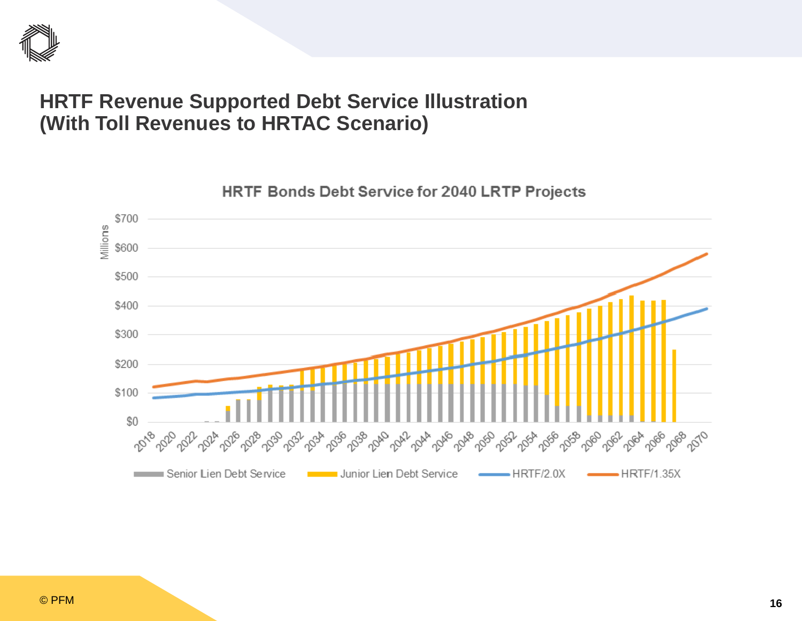

### **HRTF Revenue Supported Debt Service Illustration (With Toll Revenues to HRTAC Scenario)**

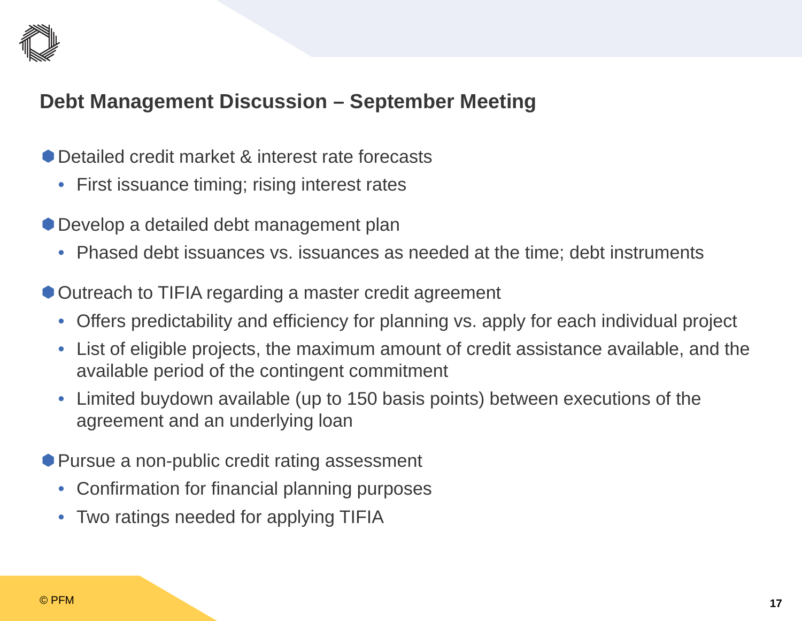

### **Debt Management Discussion – September Meeting**

- Detailed credit market & interest rate forecasts
	- First issuance timing; rising interest rates
- Develop a detailed debt management plan
	- Phased debt issuances vs. issuances as needed at the time; debt instruments
- Outreach to TIFIA regarding a master credit agreement
	- Offers predictability and efficiency for planning vs. apply for each individual project
	- List of eligible projects, the maximum amount of credit assistance available, and the available period of the contingent commitment
	- $\bullet$  Limited buydown available (up to 150 basis points) between executions of the agreement and an underlying loan
- Pursue a non-public credit rating assessment
	- Confirmation for financial planning purposes
	- $\bullet$ Two ratings needed for applying TIFIA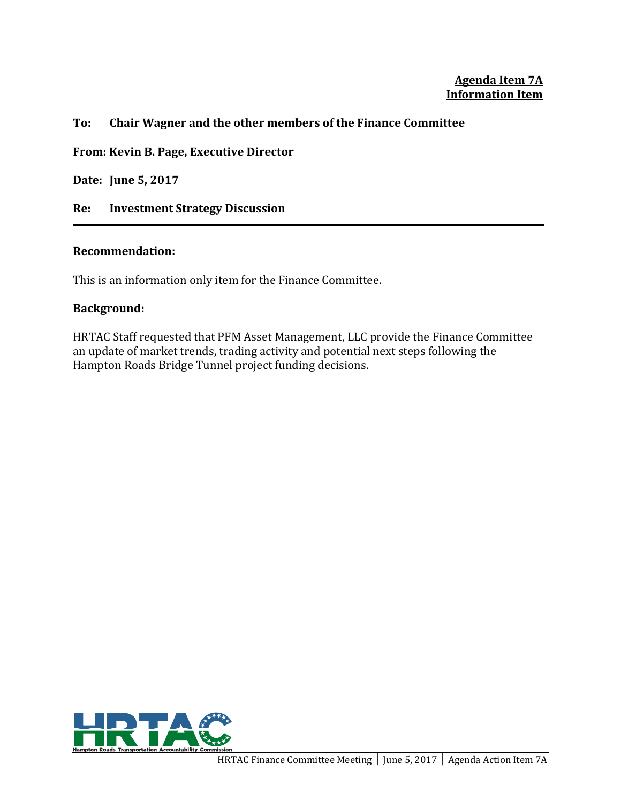### **Agenda Item 7A Information Item**

#### **To: Chair Wagner and the other members of the Finance Committee**

**From: Kevin B. Page, Executive Director**

**Date: June 5, 2017**

**Re: Investment Strategy Discussion** 

#### **Recommendation:**

This is an information only item for the Finance Committee.

#### **Background:**

HRTAC Staff requested that PFM Asset Management, LLC provide the Finance Committee an update of market trends, trading activity and potential next steps following the Hampton Roads Bridge Tunnel project funding decisions.

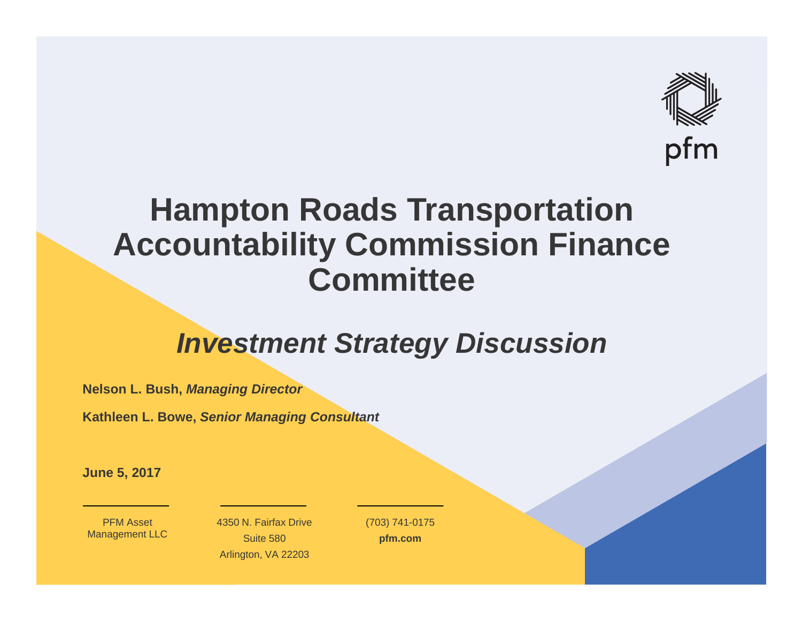

## **Hampton Roads Transportation Accountability Commission Finance Committee**

## *Investment Strategy Discussion*

**Nelson L. Bush,** *Managing Director*

**Kathleen L. Bowe,** *Senior Managing Consultant*

**June 5, 2017**

PFM Asset Management LLC 4350 N. Fairfax DriveSuite 580 Arlington, VA 22203

(703) 741-0175 **pfm.com**

,他们的身体都是一个人的,他们的人们都是一个人的。""我们的人们,我们的人们,我们的人们,我们的人们,我们的人们,我们的人们,我们的人们,我们的人们,我们的人们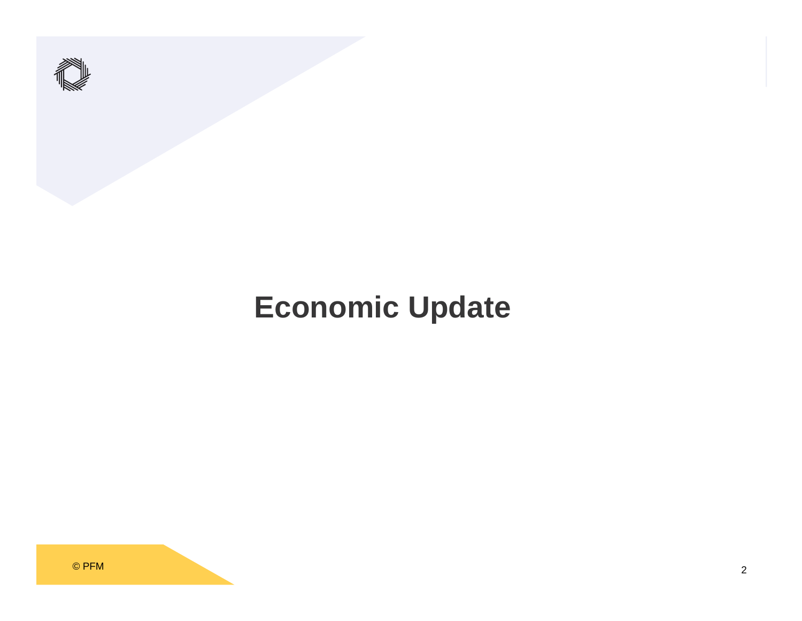

# **Economic Update**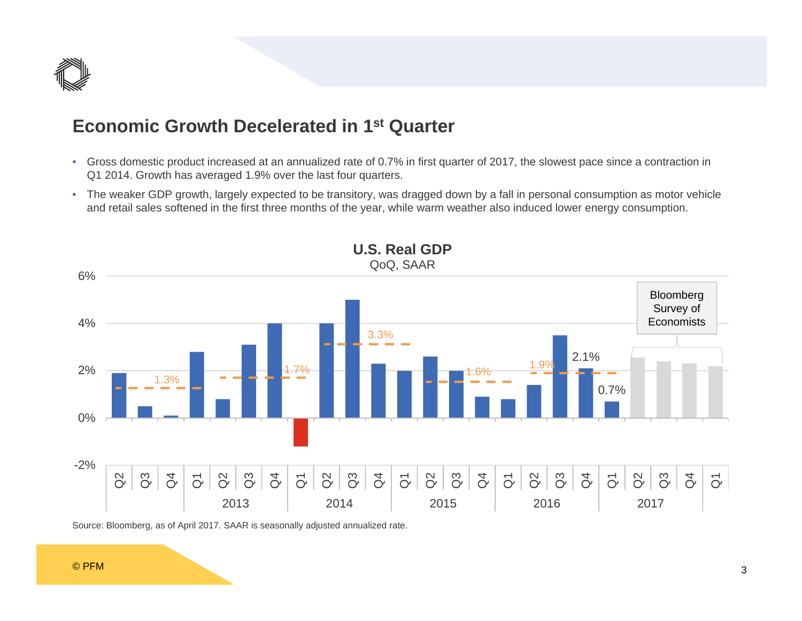

### **Economic Growth Decelerated in 1st Quarter**

- Gross domestic product increased at an annualized rate of 0.7% in first quarter of 2017, the slowest pace since a contraction in Q1 2014. Growth has averaged 1.9% over the last four quarters.
- The weaker GDP growth, largely expected to be transitory, was dragged down by a fall in personal consumption as motor vehicle and retail sales softened in the first three months of the year, while warm weather also induced lower energy consumption.





Source: Bloomberg, as of April 2017. SAAR is seasonally adjusted annualized rate.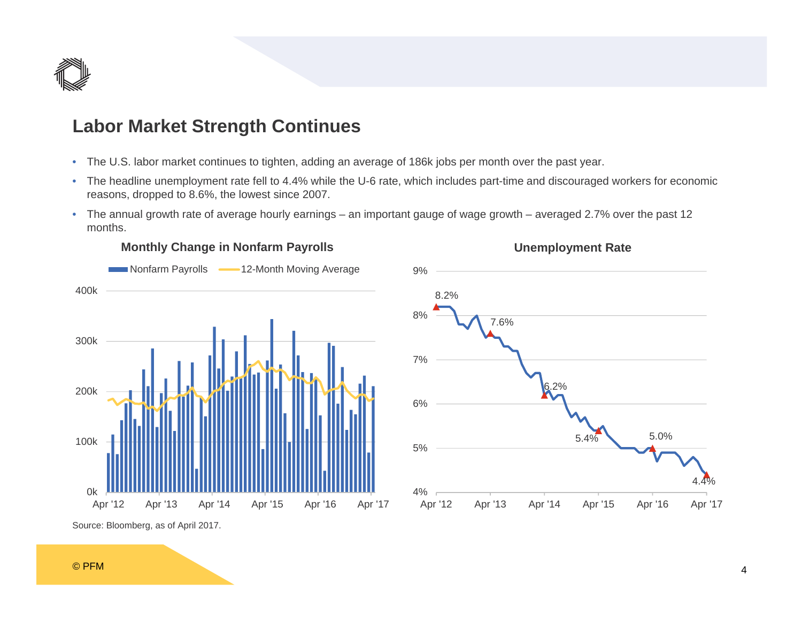

### **Labor Market Strength Continues**

- The U.S. labor market continues to tighten, adding an average of 186k jobs per month over the past year.
- The headline unemployment rate fell to 4.4% while the U-6 rate, which includes part-time and discouraged workers for economic reasons, dropped to 8.6%, the lowest since 2007.

**Unemployment Rate**

• The annual growth rate of average hourly earnings – an important gauge of wage growth – averaged 2.7% over the past 12 months.



### **Monthly Change in Nonfarm Payrolls**

Source: Bloomberg, as of April 2017.

#### © PFM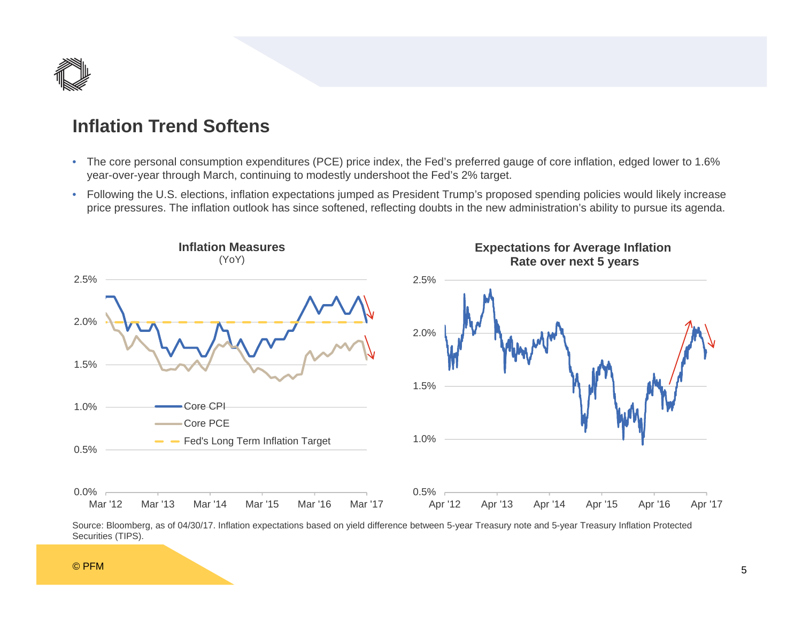

### **Inflation Trend Softens**

- The core personal consumption expenditures (PCE) price index, the Fed's preferred gauge of core inflation, edged lower to 1.6% year-over-year through March, continuing to modestly undershoot the Fed's 2% target.
- Following the U.S. elections, inflation expectations jumped as President Trump's proposed spending policies would likely increase price pressures. The inflation outlook has since softened, reflecting doubts in the new administration's ability to pursue its agenda.





#### © PFM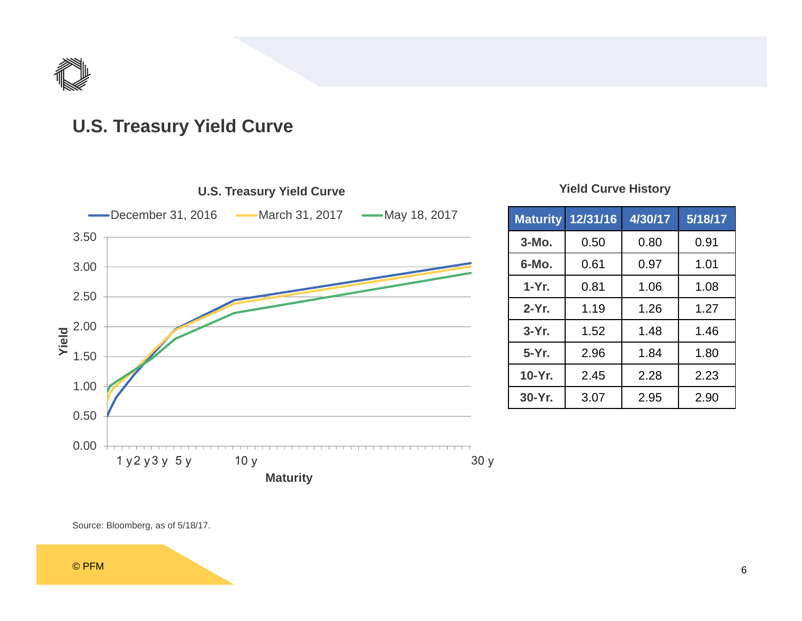

### **U.S. Treasury Yield Curve**



### **Yield Curve History**

| <b>Maturity</b> | 12/31/16 | 4/30/17 | 5/18/17 |  |  |
|-----------------|----------|---------|---------|--|--|
| $3-MO$ .        | 0.50     | 0.80    | 0.91    |  |  |
| 6-Mo.           | 0.61     | 0.97    | 1.01    |  |  |
| $1-Yr$ .        | 0.81     | 1.06    | 1.08    |  |  |
| $2-Yr$ .        | 1.19     | 1.26    | 1.27    |  |  |
| $3-Yr$ .        | 1.52     | 1.48    | 1.46    |  |  |
| 5-Yr.           | 2.96     | 1.84    | 1.80    |  |  |
| 10-Yr.          | 2.45     | 2.28    | 2.23    |  |  |
| 30-Yr.          | 3.07     | 2.95    | 2.90    |  |  |

Source: Bloomberg, as of 5/18/17.

© PFM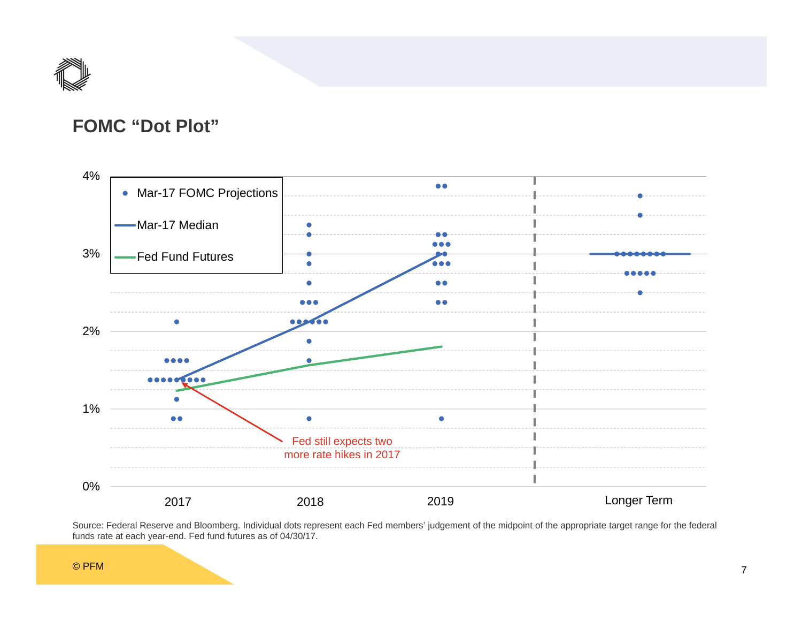

### **FOMC "Dot Plot"**



Source: Federal Reserve and Bloomberg. Individual dots represent each Fed members' judgement of the midpoint of the appropriate target range for the federal funds rate at each year-end. Fed fund futures as of 04/30/17.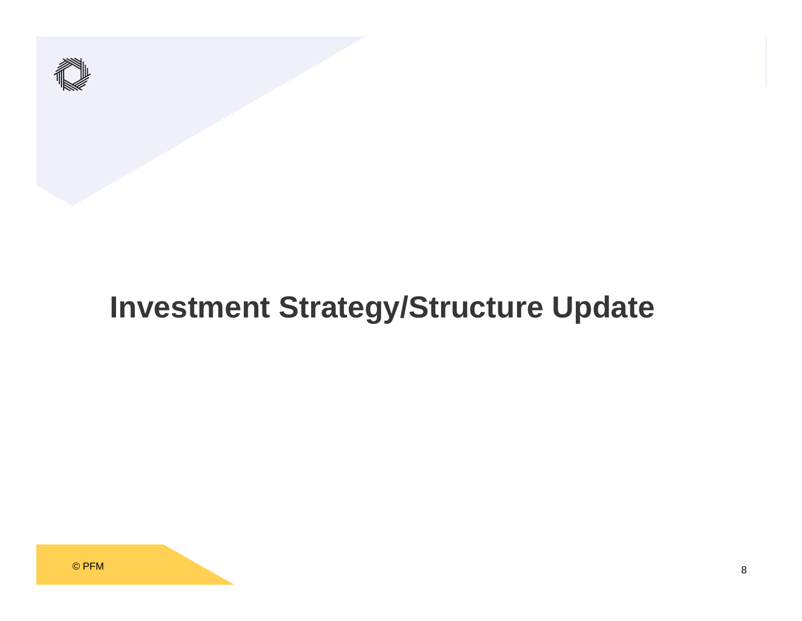

# **Investment Strategy/Structure Update**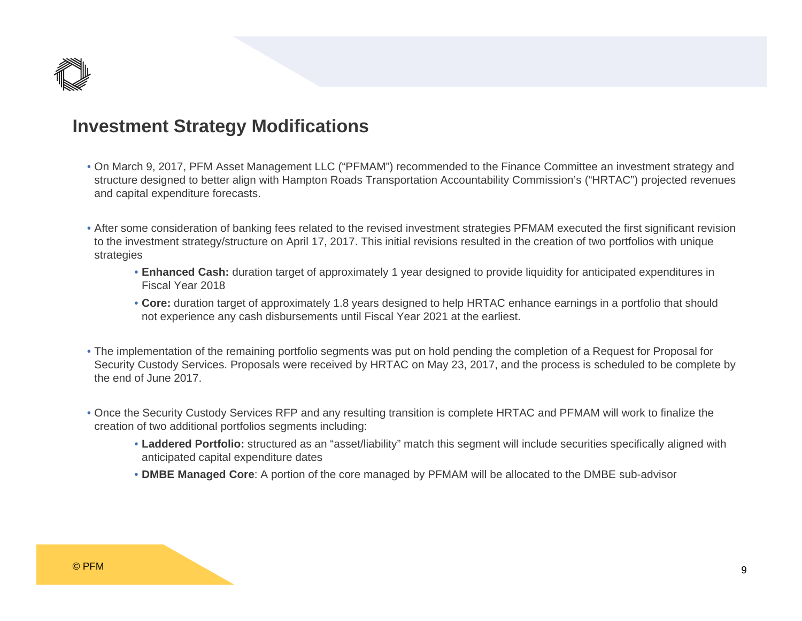

### **Investment Strategy Modifications**

- On March 9, 2017, PFM Asset Management LLC ("PFMAM") recommended to the Finance Committee an investment strategy and structure designed to better align with Hampton Roads Transportation Accountability Commission's ("HRTAC") projected revenues and capital expenditure forecasts.
- After some consideration of banking fees related to the revised investment strategies PFMAM executed the first significant revision to the investment strategy/structure on April 17, 2017. This initial revisions resulted in the creation of two portfolios with unique strategies
	- **Enhanced Cash:** duration target of approximately 1 year designed to provide liquidity for anticipated expenditures in Fiscal Year 2018
	- **Core:** duration target of approximately 1.8 years designed to help HRTAC enhance earnings in a portfolio that should not experience any cash disbursements until Fiscal Year 2021 at the earliest.
- The implementation of the remaining portfolio segments was put on hold pending the completion of a Request for Proposal for Security Custody Services. Proposals were received by HRTAC on May 23, 2017, and the process is scheduled to be complete by the end of June 2017.
- Once the Security Custody Services RFP and any resulting transition is complete HRTAC and PFMAM will work to finalize the creation of two additional portfolios segments including:
	- **Laddered Portfolio:** structured as an "asset/liability" match this segment will include securities specifically aligned with anticipated capital expenditure dates
	- **DMBE Managed Core**: A portion of the core managed by PFMAM will be allocated to the DMBE sub-advisor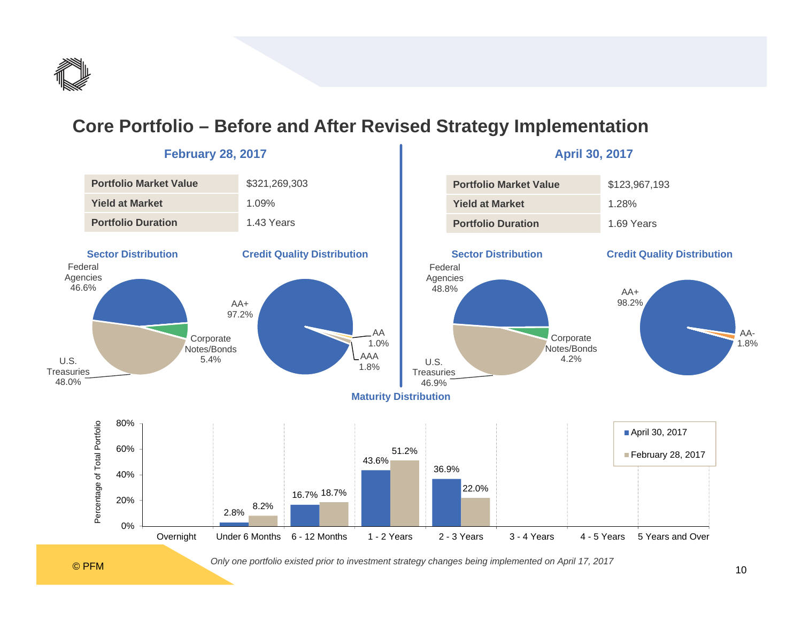

### **Core Portfolio – Before and After Revised Strategy Implementation**



#### **February 28, 2017 April 30, 2017**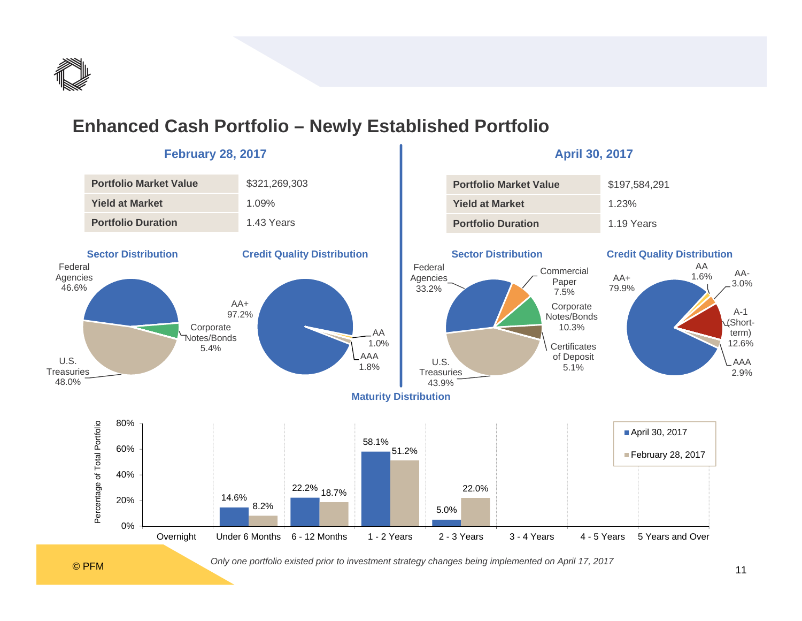

### **Enhanced Cash Portfolio – Newly Established Portfolio**



### **February 28, 2017 April 30, 2017**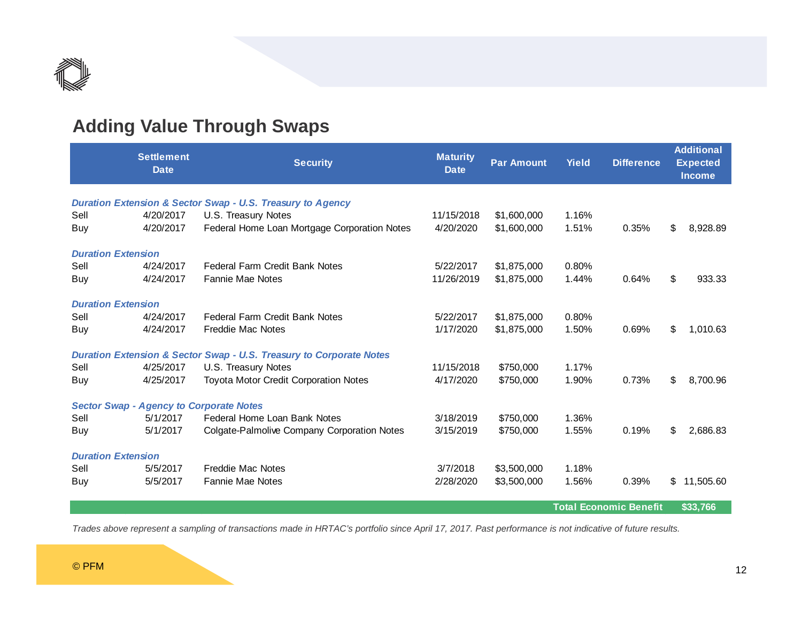

### **Adding Value Through Swaps**

|                                                                       | <b>Settlement</b><br><b>Date</b> | <b>Security</b>                                                                | <b>Maturity</b><br><b>Date</b> | <b>Par Amount</b> | <b>Yield</b> | <b>Difference</b> |    | <b>Additional</b><br><b>Expected</b><br><b>Income</b> |  |
|-----------------------------------------------------------------------|----------------------------------|--------------------------------------------------------------------------------|--------------------------------|-------------------|--------------|-------------------|----|-------------------------------------------------------|--|
| <b>Duration Extension &amp; Sector Swap - U.S. Treasury to Agency</b> |                                  |                                                                                |                                |                   |              |                   |    |                                                       |  |
| Sell                                                                  | 4/20/2017                        | U.S. Treasury Notes                                                            | 11/15/2018                     | \$1,600,000       | 1.16%        |                   |    |                                                       |  |
| Buy                                                                   | 4/20/2017                        | Federal Home Loan Mortgage Corporation Notes                                   | 4/20/2020                      | \$1,600,000       | 1.51%        | 0.35%             | \$ | 8,928.89                                              |  |
| <b>Duration Extension</b>                                             |                                  |                                                                                |                                |                   |              |                   |    |                                                       |  |
| Sell                                                                  | 4/24/2017                        | <b>Federal Farm Credit Bank Notes</b>                                          | 5/22/2017                      | \$1,875,000       | 0.80%        |                   |    |                                                       |  |
| Buy                                                                   | 4/24/2017                        | <b>Fannie Mae Notes</b>                                                        | 11/26/2019                     | \$1,875,000       | 1.44%        | 0.64%             | \$ | 933.33                                                |  |
| <b>Duration Extension</b>                                             |                                  |                                                                                |                                |                   |              |                   |    |                                                       |  |
| Sell                                                                  | 4/24/2017                        | <b>Federal Farm Credit Bank Notes</b>                                          | 5/22/2017                      | \$1,875,000       | 0.80%        |                   |    |                                                       |  |
| Buy                                                                   | 4/24/2017                        | Freddie Mac Notes                                                              | 1/17/2020                      | \$1,875,000       | 1.50%        | 0.69%             | \$ | 1,010.63                                              |  |
|                                                                       |                                  | <b>Duration Extension &amp; Sector Swap - U.S. Treasury to Corporate Notes</b> |                                |                   |              |                   |    |                                                       |  |
| Sell                                                                  | 4/25/2017                        | U.S. Treasury Notes                                                            | 11/15/2018                     | \$750,000         | 1.17%        |                   |    |                                                       |  |
| Buy                                                                   | 4/25/2017                        | <b>Toyota Motor Credit Corporation Notes</b>                                   | 4/17/2020                      | \$750,000         | 1.90%        | 0.73%             | \$ | 8,700.96                                              |  |
| <b>Sector Swap - Agency to Corporate Notes</b>                        |                                  |                                                                                |                                |                   |              |                   |    |                                                       |  |
| Sell                                                                  | 5/1/2017                         | Federal Home Loan Bank Notes                                                   | 3/18/2019                      | \$750,000         | 1.36%        |                   |    |                                                       |  |
| Buy                                                                   | 5/1/2017                         | Colgate-Palmolive Company Corporation Notes                                    | 3/15/2019                      | \$750,000         | 1.55%        | 0.19%             | \$ | 2,686.83                                              |  |
| <b>Duration Extension</b>                                             |                                  |                                                                                |                                |                   |              |                   |    |                                                       |  |
| Sell                                                                  | 5/5/2017                         | Freddie Mac Notes                                                              | 3/7/2018                       | \$3,500,000       | 1.18%        |                   |    |                                                       |  |
| Buy                                                                   | 5/5/2017                         | <b>Fannie Mae Notes</b>                                                        | 2/28/2020                      | \$3,500,000       | 1.56%        | 0.39%             | \$ | 11,505.60                                             |  |
|                                                                       | <b>Total Economic Benefit</b>    |                                                                                |                                |                   |              | \$33,766          |    |                                                       |  |

*Trades above represent a sampling of transactions made in HRTAC's portfolio since April 17, 2017. Past performance is not indicative of future results.*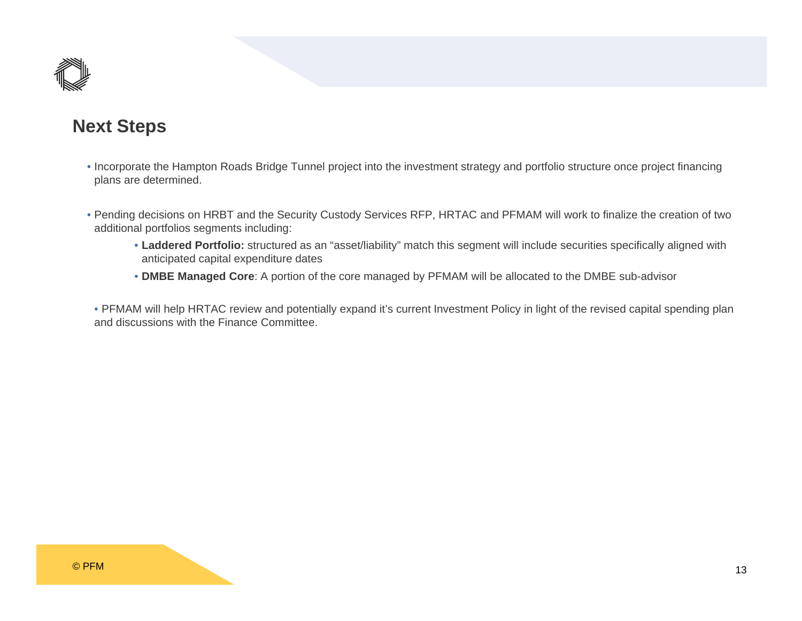

### **Next Steps**

- Incorporate the Hampton Roads Bridge Tunnel project into the investment strategy and portfolio structure once project financing plans are determined.
- Pending decisions on HRBT and the Security Custody Services RFP, HRTAC and PFMAM will work to finalize the creation of two additional portfolios segments including:
	- **Laddered Portfolio:** structured as an "asset/liability" match this segment will include securities specifically aligned with anticipated capital expenditure dates
	- **DMBE Managed Core**: A portion of the core managed by PFMAM will be allocated to the DMBE sub-advisor

• PFMAM will help HRTAC review and potentially expand it's current Investment Policy in light of the revised capital spending plan and discussions with the Finance Committee.